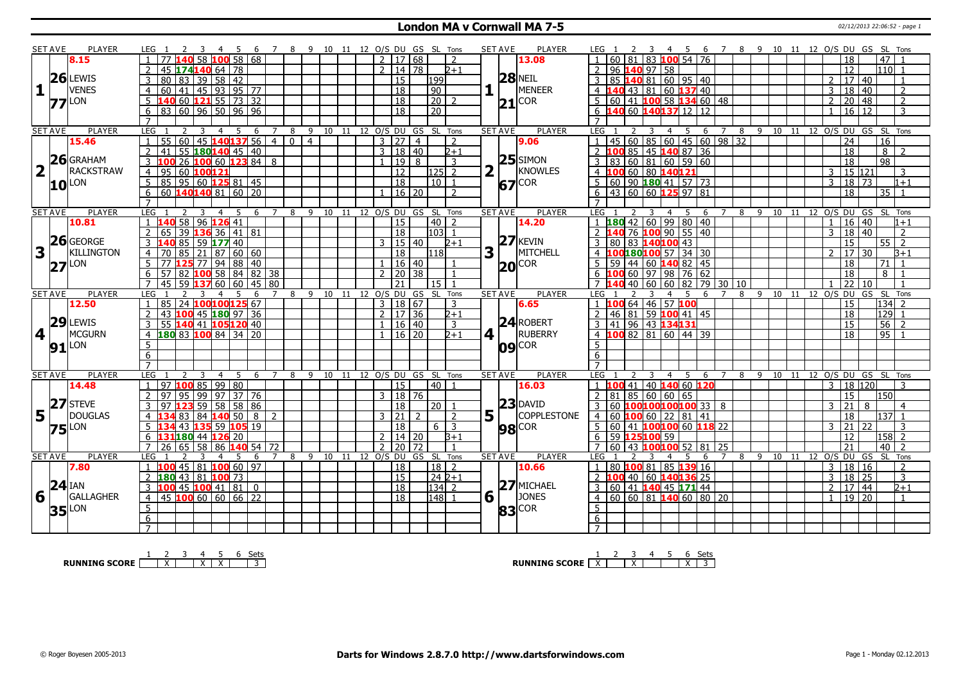### **London MA v Cornwall MA 7-5** 02/12/2013 22:06:52 - page 1

|                | <b>SET AVE</b> | <b>PLAYER</b>       | LEG 1<br>45                                                                       | - 6                               | 7 8 9 10 11 12 O/S DU GS SL Tons |       |      |                                 |                |                    |                | <b>SET AVE</b> | <b>PLAYER</b>      | 4 5 6 7 8 9 10 11 12 O/S DU GS SL Tons<br>LEG 1<br>- 3                                                   |
|----------------|----------------|---------------------|-----------------------------------------------------------------------------------|-----------------------------------|----------------------------------|-------|------|---------------------------------|----------------|--------------------|----------------|----------------|--------------------|----------------------------------------------------------------------------------------------------------|
|                |                | 8.15                |                                                                                   | $58 \, 100 \, 58 \, 168$          |                                  |       |      | 2   17   68                     |                |                    | $\overline{2}$ |                | 13.08              | 81 83 100 54 76<br>47<br>18<br>60                                                                        |
|                |                |                     | $174140664$ 78<br>45                                                              |                                   |                                  |       |      | $\overline{2}$                  | 14 78          |                    | $2 + 1$        |                |                    | $110$ 1<br>96 140 97 58<br>12                                                                            |
|                |                | $26$ LEWIS          | 39   58   42<br>80<br>83                                                          |                                   |                                  |       |      | 15                              |                | 199                |                |                | $28$ NEIL          | 40 81 60 95 40<br>851<br>17 40                                                                           |
| 1              |                | <b>VENES</b>        | $41$   45   93   95   77<br>$\overline{4}$<br>60                                  |                                   |                                  |       |      | $\overline{18}$                 |                | $\boxed{90}$       |                |                | <b>MENEER</b>      | 43 81 60 137 40<br>18<br>$\overline{2}$<br>3<br>$ 40\rangle$<br>4                                        |
|                |                |                     | <b>40 60 121</b> 55 73 32                                                         |                                   |                                  |       |      | $\overline{18}$                 |                | 20 2               |                |                | COR                | 60 41 100 58 134 60 48<br>20   48<br>5<br>$\overline{2}$<br>2                                            |
|                |                | $77$ <sup>LON</sup> | 83 60 96 50 96 96<br>6                                                            |                                   |                                  |       |      | 18                              |                | $\overline{20}$    |                |                | $\mathbf{21}$      | 140 60 140137 12 12<br>$16 \mid 12$<br>3<br>6<br>$\mathbf{1}$                                            |
|                |                |                     | $\overline{7}$                                                                    |                                   |                                  |       |      |                                 |                |                    |                |                |                    | $\overline{7}$                                                                                           |
|                | <b>SET AVE</b> | <b>PLAYER</b>       | LEG<br>4                                                                          | 5<br>7                            | 8                                |       |      | 9 10 11 12 O/S DU GS SL Tons    |                |                    |                | <b>SET AVE</b> | <b>PLAYER</b>      | LEG<br>8 9 10 11 12 0/S DU GS SL Tons<br>7                                                               |
|                |                | 15.46               | 60<br>55<br>$\mathbf{1}$                                                          | 6<br>45 140 137 56<br>$\sqrt{4}$  | $\overline{4}$<br>$\Omega$       |       |      | $3 \mid 27$                     | $\overline{4}$ |                    | $\overline{z}$ |                | 9.06               | 3<br>4<br>- 5<br>6<br>45 60 85 60 45 60 98 32<br>16<br>24<br>$\overline{1}$                              |
|                |                |                     | 55 180 140 45 40<br>$\overline{2}$<br>41                                          |                                   |                                  |       |      | 3   18   40                     |                |                    | $2+1$          |                |                    | 85 45 140 87 36<br>$\overline{18}$<br>$\sqrt{2}$<br>100<br>$\mathcal{L}$                                 |
|                |                | $26$ GRAHAM         |                                                                                   |                                   |                                  |       |      |                                 |                |                    |                |                | $25$ SIMON         | 8                                                                                                        |
|                |                |                     | 3<br>26                                                                           | 10060123848                       |                                  |       |      | $\sqrt{19}$                     | 8              |                    | 3              |                |                    | $\boxed{60}$ 81 60 59 60<br>$\overline{98}$<br>$\overline{83}$<br>$\overline{18}$                        |
| $\overline{2}$ |                | <b>RACKSTRAW</b>    | 95<br>60 100121<br>$\overline{4}$                                                 |                                   |                                  |       |      | $\overline{12}$                 |                | $\overline{125}$ 2 |                | $\overline{2}$ | KNOWLES            | 15 121<br>100 60 80 140121<br>3<br>3                                                                     |
|                |                | $10^{\text{LON}}$   | $5^{\circ}$<br>85 95 60 125 81 45                                                 |                                   |                                  |       |      | $\overline{18}$                 |                | $10$   1           |                |                | <b>COR</b><br>67   | 60 90 180 41 57 73<br>3<br>18<br>$\overline{73}$<br>5<br>$1 + 1$                                         |
|                |                |                     | 60 $140140$ 81 60 20<br>6                                                         |                                   |                                  |       |      |                                 | 16   20        |                    | $\mathcal{D}$  |                |                    | $\overline{35}$<br>43 60 60 125 97 81<br>18<br>6<br>$\overline{1}$                                       |
|                |                |                     |                                                                                   |                                   |                                  |       |      |                                 |                |                    |                |                |                    |                                                                                                          |
|                | <b>SET AVE</b> | <b>PLAYER</b>       | LEG<br>3<br>$\overline{4}$                                                        | 5<br>6<br>$7^{\circ}$             | 9<br>8                           |       |      | 10 11 12 O/S DU GS SL Tons      |                |                    |                | <b>SET AVE</b> | <b>PLAYER</b>      | LEG<br>-9<br>12 O/S DU GS<br>SL Tons<br>$\overline{4}$<br>- 5<br>6<br>8<br>10<br>11<br>7                 |
|                |                | 10.81               | 96 126 41<br>58 I                                                                 |                                   |                                  |       |      | $\overline{15}$                 |                | 40                 | $\overline{2}$ |                | 14.20              | 42 60 99 80 40<br>16<br>40<br>180<br>$\overline{1}$<br>$1 + 1$                                           |
|                |                |                     | $\overline{2}$<br>39 136 36 41 81                                                 |                                   |                                  |       |      | <sup>18</sup>                   |                | 103 1              |                |                |                    | 76 100 90 55 40<br>18   40<br>3<br>$\overline{2}$<br>$\overline{2}$                                      |
|                |                | $26$ GEORGE         | $\mathbf{3}$<br>85 I<br>5917740                                                   |                                   |                                  |       |      | 3   15   40                     |                |                    | $D+1$          |                | $27$ <b>KEVIN</b>  | $\overline{80}$<br>83 140100 43<br>15<br>55<br>$\overline{2}$<br>3                                       |
| 3              |                | <b>KILLINGTON</b>   | 70<br>85 l<br>$\overline{4}$                                                      | $21$ 87 60 60                     |                                  |       |      | $\overline{18}$                 |                | l118 l             |                | 3              | MITCHELL           | LOO180100 57 34 30<br>17<br>$\overline{2}$<br>30<br>4<br>l3+1                                            |
|                |                | $27$ <sup>LON</sup> | 5 <sup>7</sup><br>77 <b>125</b> 77 94 88 40                                       |                                   |                                  |       |      | 1   16   40                     |                |                    | $\mathbf{1}$   |                | <b>COR</b><br> 20  | 18<br>$59 \mid 44 \mid 60$ 140 82 45<br>71                                                               |
|                |                |                     | 6<br>57                                                                           | 82 $\sqrt{100}$ 58   84   82   38 |                                  |       |      | $\overline{2}$                  | $\sqrt{20}$ 38 |                    | $\overline{1}$ |                |                    | 60 97 98 76 62<br>18<br>8                                                                                |
|                |                |                     | 59<br>$\overline{7}$                                                              | 37 60 60 45 80                    |                                  |       |      | 21                              |                | 15 <sub>1</sub>    |                |                |                    | 22<br>10<br>40<br>79<br>30110<br>60<br>82                                                                |
|                | <b>SET AVE</b> | <b>PLAYER</b>       | LEG<br>4                                                                          | 7                                 | 9<br>8                           | 10    | - 11 | 12 O/S DU                       |                | GS SL Tons         |                | <b>SET AVE</b> | <b>PLAYER</b>      | LEG<br>12 O/S DU GS SL Tons<br>8<br>-9<br>10 11<br>6                                                     |
|                |                | 12.50               | 85<br>24 100100125 67                                                             |                                   |                                  |       |      | $\overline{3}$                  | 18 67          |                    | 3              |                | 6.65               | 64 46 57 100<br>15<br>134                                                                                |
|                |                |                     | $\overline{2}$<br>43 100 45 180 97 36                                             |                                   |                                  |       |      | $\mathcal{P}$                   | 17 36          |                    | $2 + 1$        |                |                    | 46 81 59 100 41 45<br>129<br>18                                                                          |
|                |                | $29$ LEWIS          | 140 41 105120 40<br>3<br>55                                                       |                                   |                                  |       |      | 16                              | l 40           |                    | $\overline{3}$ |                | <b>24 ROBERT</b>   | 41 96 43 134131<br>$\overline{56}$<br>3<br>15<br>$\overline{z}$                                          |
| 4              |                |                     |                                                                                   |                                   |                                  |       |      |                                 |                |                    |                |                |                    |                                                                                                          |
|                |                |                     | $\overline{4}$                                                                    |                                   |                                  |       |      |                                 |                |                    |                |                |                    |                                                                                                          |
|                |                | <b>MCGURN</b>       | 180831008413420                                                                   |                                   |                                  |       |      | 1   16   20                     |                |                    | $2 + 1$        | 4 1            | RUBERRY            | $95$ 1<br>$4 \overline{100} 82 \overline{81} 60 \overline{44} 39$<br>18                                  |
|                | 91             | LON                 | 5                                                                                 |                                   |                                  |       |      |                                 |                |                    |                |                | <b>COR</b><br>ngl  | 5                                                                                                        |
|                |                |                     | $6\overline{6}$                                                                   |                                   |                                  |       |      |                                 |                |                    |                |                |                    | 6                                                                                                        |
|                |                |                     | $\overline{7}$                                                                    | $\overline{7}$                    |                                  |       |      |                                 |                |                    |                |                |                    | $\overline{7}$                                                                                           |
|                | <b>SET AVE</b> | <b>PLAYER</b>       | LEG<br>$\overline{4}$<br>$\mathbf{1}$                                             | 5<br>6                            | 9<br>8                           | 10 11 |      | 12 O/S DU                       |                | GS SL Tons         |                | <b>SET AVE</b> | <b>PLAYER</b>      | <b>LEG</b><br>$12$ $O/S$ DU GS<br>SL Tons<br>8<br>-9<br>10<br>4<br>-6<br>-11<br>3<br>3<br>$\overline{1}$ |
|                |                | 14.48               | $97$ 100 85 99 80                                                                 |                                   |                                  |       |      | 15                              |                | $40$   1           |                |                | 16.03              | 41 40 140 60 120<br>18 120                                                                               |
|                |                |                     | 2<br>95 99 97 37 76<br>97                                                         |                                   |                                  |       |      | 3   18   76                     |                |                    |                |                |                    | 81 85 60 60 65<br> 150 <br>$\overline{2}$<br>15                                                          |
|                |                | 27 STEVE            | 3<br>97                                                                           | $59$ 58 58 86                     |                                  |       |      | $\overline{18}$                 |                | 20 1               |                |                | $23$ DAVID         | $\overline{21}$<br>60<br>100100100100 33   8<br>3<br>8<br>4                                              |
| 5              |                | <b>DOUGLAS</b>      | 84<br>83                                                                          | <b>140</b> 50<br>8<br>2           |                                  |       |      | $\overline{21}$<br>$\mathbf{3}$ | $\overline{2}$ |                    | 2              | 5              | <b>COPPLESTONE</b> | 18<br>137<br>60<br>60 22 81 41<br>4                                                                      |
|                |                | $75$ <sup>LON</sup> | 5<br>43 135 59 105 19                                                             |                                   |                                  |       |      | 18                              |                | $6 \mid 3$         |                |                | <b>98</b> COR      | $5\overline{5}$<br> 21 <br>60 41 100100 60 118 22<br>3<br>22<br>3                                        |
|                |                |                     | 31 180 44 126 20                                                                  |                                   |                                  |       |      | 2                               | 14 20          |                    | $3+1$          |                |                    | 158<br>59 125100 59<br>12<br>6<br>2                                                                      |
|                |                |                     | $\overline{7}$<br>26                                                              | $65$ 58 86 140 54 72              |                                  |       |      | $\overline{2}$<br>20            | 72             |                    | $\overline{1}$ |                |                    | $\overline{7}$<br>21<br>$\overline{40}$<br>60   43 100100 52<br>81<br>25<br>$\overline{2}$               |
|                | <b>SET AVE</b> | <b>PLAYER</b>       | <b>LEG</b>                                                                        | .5<br>7<br>6                      | $\mathsf{q}$<br>8                | 10    | 11   | 12 0/S DU                       |                | GS SL Tons         |                | <b>SET AVE</b> | <b>PLAYER</b>      | SL Tons<br>LEG<br>9 10<br>12 O/S DU GS<br>5<br>8<br>11<br>6                                              |
|                |                | 7.80                | 45   81   100   60   97<br>100<br>$\overline{1}$                                  |                                   |                                  |       |      | 18                              |                | 18   2             |                |                | 10.66              | 80 100 81 85 139 16<br>18 16<br>$\vert$ 1<br>3<br>$\overline{\phantom{0}}$                               |
|                |                |                     | 180 43 81 100 73<br>2                                                             |                                   |                                  |       |      | l 15                            |                | 24 2+1             |                |                |                    | $\overline{18}$<br>40 60 140136 25<br>3<br>l 25<br>$\overline{3}$<br>2<br>100                            |
|                | $24$ IAN       |                     | $100$ 45 $100$ 41   81   0<br>3                                                   |                                   |                                  |       |      | 18                              |                | $134$ 2            |                |                | 27 MICHAEL         | 60 41 140 45 171 44<br>17 44<br>$2 + 1$<br>$\overline{3}$<br>2                                           |
| 6              |                | <b>GALLAGHER</b>    | $45 \,   \mathbf{100}   \, 60 \,   \, 60 \,   \, 66 \,   \, 22$<br>$\overline{4}$ |                                   |                                  |       |      | 18                              |                | 148 1              |                | 6              | <b>JONES</b>       | 60   60   81   140 60   80   20<br>19 20<br>$\overline{4}$<br>$\mathbf{1}$<br>$\mathbf{1}$               |
|                |                |                     | 5                                                                                 |                                   |                                  |       |      |                                 |                |                    |                |                | COR<br>83          | 5                                                                                                        |
|                |                | <b>35</b> LON       | 6<br>$\overline{7}$                                                               |                                   |                                  |       |      |                                 |                |                    |                |                |                    | 6<br>$\overline{7}$                                                                                      |

**RUNNING SCORE**  $\begin{array}{|c|c|c|c|c|}\n\hline\n & 2 & 3 & 4 & 5 & 6 & \text{Sets} \\
\hline\n\end{array}$ 

**RUNNING SCORE**  $\begin{array}{|c|c|c|c|c|}\n\hline\n\textbf{1} & \textbf{2} & \textbf{3} & \textbf{4} & \textbf{5} & \textbf{6} & \textbf{Sets} \\
\hline\n\textbf{5} & \textbf{5} & \textbf{8} & \textbf{7} & \textbf{8} & \textbf{1} & \textbf{1} & \textbf{1} & \textbf{1} & \textbf{1} & \textbf{1} \\
\hline\n\textbf{6} & \textbf{7} & \textbf{8} & \textbf{1} & \textbf{1} & \textbf{1} & \textbf{1} &$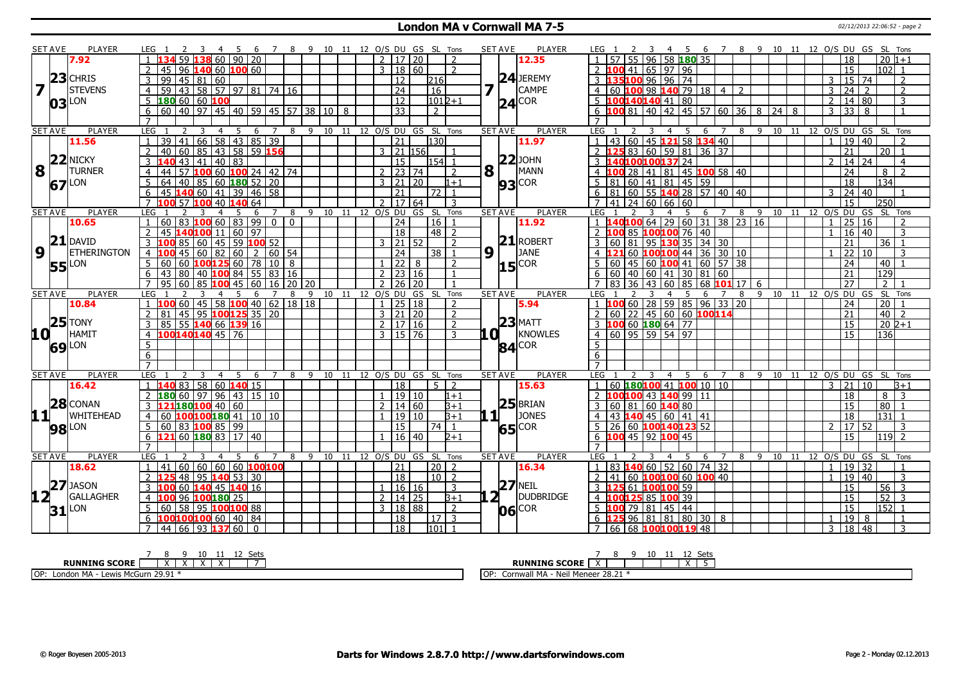### **London MA v Cornwall MA 7-5** 02/12/2013 22:06:52 - page 2

|                         | <b>SET AVE</b> | <b>PLAYER</b>       | LEG<br>45                                                                       | - 6<br>- 8          | - 9          |       |                             |         | 10 11 12 O/S DU GS SL Tons        |                    | <b>SET AVE</b><br><b>PLAYER</b> | 10 11 12 O/S DU GS SL Tons<br>4 5 6 7 8 9<br>LEG :                                                         |
|-------------------------|----------------|---------------------|---------------------------------------------------------------------------------|---------------------|--------------|-------|-----------------------------|---------|-----------------------------------|--------------------|---------------------------------|------------------------------------------------------------------------------------------------------------|
|                         |                | 7.92                | 59<br>L38 60 90 20                                                              |                     |              |       | 2   17   20                 |         | $\overline{2}$                    |                    | 12.35                           | 55 96 58 180 35<br>$ 20 1+1$<br>18                                                                         |
|                         |                |                     | L40 60 200 60<br>45<br>96                                                       |                     |              |       | $\mathbf{3}$                | 18 60   | 2                                 |                    |                                 | 00 41 65 97 96<br>15<br>102 <sub>1</sub>                                                                   |
|                         |                | $23$ CHRIS          | 99<br>45<br>$81$ 60                                                             |                     |              |       | 12                          |         | 216                               |                    | $24$ JEREMY                     | 35100 96 96 74<br>15 74<br>$\overline{2}$                                                                  |
| $\overline{\mathbf{z}}$ |                | <b>STEVENS</b>      | 43 58 57 97 81 74 16<br>59<br>$\overline{4}$                                    |                     |              |       | $\overline{24}$             |         | $\overline{16}$                   | 7                  | <b>CAMPE</b>                    | $\overline{24}$<br>60 100 98 140 79 18 4<br>$\overline{2}$<br>4 <sup>1</sup><br>$\mathcal{L}$<br>3<br>2    |
|                         |                |                     | 180 60<br>60 100                                                                |                     |              |       | 12                          |         | $ 101 2+1$                        |                    | $24^{\text{COR}}$               | 100140140 41 80<br>14 80<br>5.<br>2<br>3                                                                   |
|                         |                | $03$ <sup>LON</sup> | 40   97   45   40   59   45   57   38   10  <br>6<br>60                         |                     |              | 8     | $\overline{33}$             |         | $\overline{2}$                    |                    |                                 | LOO 81   40   42   45   57   60   36   8<br>$\overline{33}$<br>3<br>6<br>$24$ 8<br>8<br>$\overline{1}$     |
|                         |                |                     | $\overline{7}$                                                                  |                     |              |       |                             |         |                                   |                    |                                 |                                                                                                            |
|                         | <b>SET AVE</b> | <b>PLAYER</b>       | LEG                                                                             | 6                   | 9 10 11<br>8 |       |                             |         | 12 O/S DU GS SL Tons              | <b>SET AVE</b>     | <b>PLAYER</b>                   | <b>LEG</b><br>11<br>12 0/S DU GS SL<br>9<br>10<br>6<br>8<br>Tons                                           |
|                         |                | 11.56               | 66<br>58   43   85   39<br>$\overline{39}$<br>$\overline{41}$<br>$\overline{1}$ |                     |              |       | $\overline{21}$             |         | 130                               |                    | 11.97                           | 43 60 45 121 58 134 40<br>19 40<br>$\mathbf{1}$<br>$\mathbf{1}$<br>$\overline{2}$                          |
|                         |                |                     | 85 43 58 59 156<br>2<br>40<br>60                                                |                     |              |       | 3 21 156                    |         | -1                                |                    |                                 | 83 60 59 81 36 37<br>$\overline{2}$<br>21<br>  20   1                                                      |
|                         |                | 22 NICKY            | $\overline{3}$<br>$\overline{43}$<br>40 83<br>41                                |                     |              |       | 15                          |         | 154                               |                    | $22$ JOHN                       | 4010010013724<br>$\overline{3}$<br>  14   24<br>$\mathcal{L}$<br>$\overline{4}$                            |
| 8                       |                | <b>TURNER</b>       | 57 100 60 100 24 42 74<br>44<br>$\overline{4}$                                  |                     |              |       | $\sqrt{2}$   23   74        |         | $\overline{z}$                    | 8                  | MANN                            | LOO 28 41 81 45 100 58 40<br>$\overline{24}$<br>$8$   2<br>$4 \vert 1$                                     |
|                         | 67 LON         |                     | 5<br>64<br>85   60   180   52   20<br>40                                        |                     |              |       | $3 \ 21 \ 20$               |         | $1 + 1$                           |                    | $93$ COR                        | 81 60 41 81 45 59<br>18<br>134                                                                             |
|                         |                |                     | $140$ 60   41   39   46   58<br>6<br>45                                         |                     |              |       | $\overline{21}$             |         | $\overline{72}$<br>$\overline{1}$ |                    |                                 | 81 60 55 140 28 57 40 40<br> 24 40<br>6<br>3                                                               |
|                         |                |                     | $\overline{7}$<br>57<br>40 140 64<br>100                                        |                     |              |       | <b>17</b><br>$\overline{2}$ | 64      | 3                                 |                    |                                 | $41$   24   60   66   60<br>15<br>250                                                                      |
|                         | <b>SET AVE</b> | <b>PLAYER</b>       | <b>LEG</b>                                                                      | 6<br>8              |              |       | 9 10 11 12 O/S DU           | GS SL   | Tons                              |                    | <b>SET AVE</b><br><b>PLAYER</b> | 6<br>9<br>10 11 12 0/S DU GS<br>SL Tons<br>LEG<br>5<br>$\overline{7}$<br>8                                 |
|                         |                | 10.65               | $83$ 100 60 83 99 0 0<br>60                                                     |                     |              |       | $\overline{24}$             |         | 16<br>$\overline{1}$              |                    | 11.92                           | <b>40100</b> 64 29 60 31 38 23 16<br>$\overline{25}$<br>$\overline{16}$<br>1                               |
|                         |                |                     | 140100 11   60   97                                                             |                     |              |       | 18                          |         | $48$   2                          |                    |                                 | 85 100100 76 40<br>  16   40<br>3                                                                          |
|                         | 21             | <b>DAVID</b>        | $\overline{3}$<br>$45$ 59 100 52<br>85<br>60                                    |                     |              |       | 21 52                       |         | $\overline{z}$                    |                    | $21$ ROBERT                     | 60 81 95 130 35 34 30<br>21<br>3<br>36 <sup>1</sup>                                                        |
| 9                       |                | <b>ETHERINGTON</b>  | 45<br>60<br>82   60  <br>$\overline{4}$                                         | 2<br>$160$ $154$    |              |       | 24                          |         | 38<br>-1                          | 9                  | <b>JANE</b>                     | 22<br>60 <b>100 100</b> 44 36 30 10<br>l 10<br>3                                                           |
|                         | <b>55</b> LON  |                     | $5^{\circ}$<br>60<br>60 $100125$ 60 78                                          | 10 8                |              |       | $1 \mid 22 \mid$            | 8       | $\overline{2}$                    |                    | $15$ COR                        | 60   45   60   100   41   60   57   38<br>24<br>5<br>40                                                    |
|                         |                |                     | 6<br>43<br>80<br>40 100 84 55 83 16                                             |                     |              |       | $2$ 23 16                   |         | $\overline{1}$                    |                    |                                 | $\overline{129}$<br>60   40   60   41   30   81   60<br>21<br>6                                            |
|                         |                |                     | $\overline{7}$<br>60<br>$85 \, 100 \, 45 \, 60$<br>95.                          | 16   20   20        |              |       | $2 \mid 26 \mid 20$         |         | $\overline{1}$                    |                    |                                 | 36 43 60 85 68 101 17 6<br>27<br>2 <sup>1</sup><br>$\overline{7}$<br>83 <sub>1</sub>                       |
|                         | <b>SET AVE</b> | PLAYER              | <b>LEG</b><br>5                                                                 |                     | 9            | 10 11 | 12 0/S DU                   | GS      | SL Tons                           |                    | <b>SETAVE</b><br><b>PLAYER</b>  | 11 12 0/S DU<br>SL Tons<br>8<br>9 10<br>GS<br>LEG.<br>6                                                    |
|                         |                | 10.84               | 60<br>$45$ 58 <b>100</b> 40 62 18 18<br>$\overline{1}$                          |                     |              |       | $1 \mid 25 \mid 18$         |         | 2                                 |                    | 5.94                            | 00 60 28 59 85 96 33 20<br>$\boxed{20}$ $\boxed{1}$<br>24                                                  |
|                         |                |                     | $\overline{45}$<br>$\overline{2}$<br>81<br>95 100 125 35 20                     |                     |              |       | $3 \mid 21 \mid 20$         |         | 2                                 |                    |                                 | $60$ 22 45 60 60 100114<br>$\overline{21}$<br>$40$   2<br>$\mathcal{L}$                                    |
|                         |                | $ 25 $ TONY         | 3<br>55 <b>140</b> 66 <b>139</b> 16<br>85                                       |                     |              |       | $2 \mid 17 \mid 16$         |         | $\overline{z}$                    |                    | $23$ MATT                       | $3\ \ 100\ \ 60\ \ 180\ \ 64\ \ 77$<br>15<br>20 2+1                                                        |
| <b>10</b> LOME          |                | HAMIT               | $100140140$ 45 76<br>$\overline{4}$                                             |                     |              |       | $3 \mid 15 \mid 76$         |         | 3                                 | .O I               | KNOWLES                         | $60$ 95 59 54 97<br>136<br>$\overline{4}$<br>15                                                            |
|                         |                | 69 LON              | $\overline{5}$                                                                  |                     |              |       |                             |         |                                   |                    | <b>84</b> COR                   | 5 <sup>7</sup>                                                                                             |
|                         |                |                     | $\overline{6}$                                                                  |                     |              |       |                             |         |                                   |                    |                                 | $\overline{6}$                                                                                             |
|                         |                |                     | $\overline{7}$                                                                  |                     |              |       |                             |         |                                   |                    |                                 | $\overline{7}$                                                                                             |
|                         | <b>SET AVE</b> | <b>PLAYER</b>       | <b>LEG</b>                                                                      | $\overline{7}$<br>8 |              |       |                             |         | 9 10 11 12 O/S DU GS SL Tons      |                    | <b>SET AVE</b><br><b>PLAYER</b> | LEG<br>12 O/S DU GS SL Tons<br>89<br>10 11<br>6<br>$\overline{7}$                                          |
|                         |                | 16.42               | 58 60 140 15<br>83<br>$\overline{1}$                                            |                     |              |       | 18                          |         | 5 <sup>1</sup><br>$\overline{2}$  |                    | 15.63                           | 60 180 100 41 100 10 10<br>3<br>$ 21\rangle$<br>  10<br>$3 + 1$                                            |
|                         |                |                     | $96$   43   15   10<br>$\overline{2}$<br>L80 60<br>97                           |                     |              |       | 19 10                       |         | $1 + 1$                           |                    |                                 | $8\sqrt{3}$<br>LOO1OO 43 140 99   11<br>18                                                                 |
|                         |                | $28$ CONAN          | LOO 40<br>60                                                                    |                     |              |       | 2                           | 14 60   | B+1                               |                    | $25$ BRIAN                      | 80<br>60<br>$81$ 60 140 80<br>15                                                                           |
| 11+                     |                | WHITEHEAD           | $\overline{4}$<br>60                                                            |                     |              |       |                             | 19 10   | 3+1                               | .1∏                | <b>JONES</b>                    | 18<br>131<br>$\overline{4}$<br>43 140 45 60 41 41                                                          |
|                         | <b>98</b> LON  |                     | 83 100 85 99<br>5<br>60                                                         |                     |              |       | 15                          |         | 74<br>$\mathbf{1}$                |                    | 65 COR                          | 17 52<br>26 60 100140123 52<br>$\overline{2}$<br>3                                                         |
|                         |                |                     | 121 60 180 83 17 40<br>6                                                        |                     |              |       | 16 40                       |         | 2+1                               |                    |                                 | 15<br>6 $100$ 45 92 100 45<br>$119$ 2                                                                      |
|                         |                |                     | $\overline{7}$                                                                  |                     |              |       |                             |         |                                   |                    |                                 | $\overline{7}$                                                                                             |
|                         | <b>SET AVE</b> | PLAYER              | LEG                                                                             | 6                   | 9<br>8<br>10 | 11    | 12 O/S DU                   | GS SL   | Tons                              | <b>SET AVE</b>     | <b>PLAYER</b>                   | LEG<br>12 O/S DU GS SL<br>6<br>8<br>$\mathsf{q}$<br>10<br>11<br>Tons                                       |
|                         |                | 18.62               | 60<br>60 I<br>41                                                                | 60 60 100100        |              |       | 21                          |         | 20 <br>$\overline{2}$             |                    | 16.34                           | 83 140 60 52 60 74 32<br>19<br> 32 <br>$\overline{1}$                                                      |
|                         |                |                     | $\overline{48}$<br>95 140 53 30<br>$\overline{2}$                               |                     |              |       | $\overline{18}$             |         | $10\overline{2}$                  |                    |                                 | 41 60 100100 60 100 40<br>$ 19\rangle$<br>$\overline{40}$<br>$\mathbf{3}$<br>$\mathcal{L}$<br>$\mathbf{1}$ |
|                         |                | $27$ JASON          | 60<br>$140$ 45 $140$ 16<br>3                                                    |                     |              |       |                             | 16   16 | 3                                 |                    | $27$ NEIL                       | 5 61 100100 59<br>15<br>$56$ 3<br>3 <sub>1</sub>                                                           |
| 12 <sub>1</sub>         |                | GALLAGHER           | 96 100 180 25<br>$\overline{4}$                                                 |                     |              |       | $2 \mid 14 \mid 25$         |         | B+1                               | $2^{\overline{1}}$ | <b>DUDBRIDGE</b>                | 15<br>$52 \mid 3$<br>LOO125 85 100 39<br>$4 \vert 1$                                                       |
|                         | 31             | <b>LON</b>          | 5<br>$\overline{58}$<br>60<br>95 100100 88                                      |                     |              |       | 3   18   88                 |         | 2                                 |                    | <b>06</b> COR                   | 00 79 81 45 44<br>15<br> 152 1<br>5 b                                                                      |
|                         |                |                     | 100 <mark>100</mark> 100 60 40 84<br>6                                          |                     |              |       | 18                          |         | $\vert 17 \vert 3$                |                    |                                 | $6$ <b>125</b> 96 81 81 80 30 8<br>198<br>$\overline{1}$<br>$\overline{1}$                                 |
|                         |                |                     | l 66 l<br>  93 <b> 137</b>   60   0<br>$\overline{7}$<br>44 I                   |                     |              |       | $\overline{18}$             |         | l101 l                            |                    |                                 | 18 48<br>66 68 100100119 48<br>२<br>3                                                                      |
|                         |                |                     |                                                                                 |                     |              |       |                             |         |                                   |                    |                                 |                                                                                                            |

| . .<br>$\sim$                                                                          | ،tمC<br>.                                                                |
|----------------------------------------------------------------------------------------|--------------------------------------------------------------------------|
| <b>RUNNING SCORE</b>                                                                   | <b>RUNNING SCORE</b><br>$\ddot{\phantom{1}}$<br>$\overline{\phantom{a}}$ |
| I OP:<br><b>MA</b><br>MA <sub>0</sub><br>AcGurn 29.91<br>_ondon<br>ewis<br><b>IYIA</b> | 28.21<br>10P<br>· Neil Meneer<br>vall MA<br>Corr                         |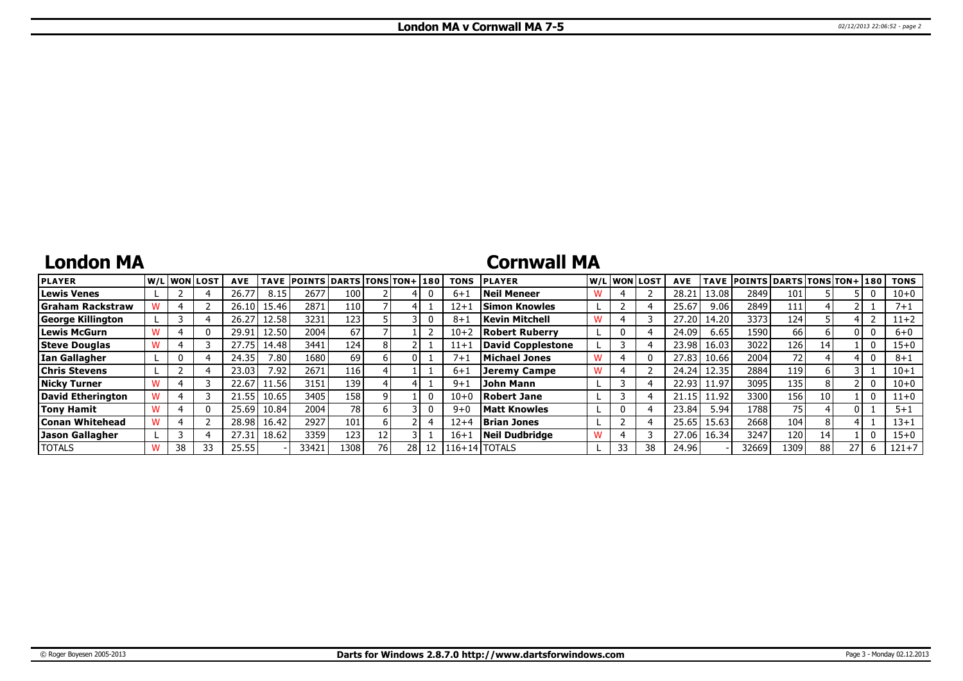## **London MA**

## **Cornwall MA**

| <b>PLAYER</b>            |    | W/Liwonilost | <b>AVE</b> | <b>TAVE</b> | <b>POINTS DARTS TONS TON+1180</b> |                 |    |      |    | <b>TONS</b> | <b>IPLAYER</b>           |    | W/Liwonilost | <b>AVE</b> |       | TAVE POINTS DARTS TONS TON+ 180 |                  |    |  | <b>TONS</b> |
|--------------------------|----|--------------|------------|-------------|-----------------------------------|-----------------|----|------|----|-------------|--------------------------|----|--------------|------------|-------|---------------------------------|------------------|----|--|-------------|
| <b>Lewis Venes</b>       |    |              | 26.77      | 8.15        | 2677                              | 100             |    |      |    | $6 + 1$     | <b>Neil Meneer</b>       |    |              | 28.2       | 13.08 | 2849                            | 101              |    |  | $10 + 0$    |
| Graham Rackstraw         |    |              | 26.10 l    | 15.46       | 2871                              | 1101            |    |      |    | $12 + .$    | <b>Simon Knowles</b>     |    |              | 25.67      | 9.06  | 2849                            |                  |    |  | 7+1         |
| <b>George Killington</b> |    |              | 26.27      | 12.58       | 3231                              | 123             |    |      |    | $8 + 1$     | Kevin Mitchell           |    |              | 27.20      | 14.20 | 3373                            | 124              |    |  | $11+2$      |
| <b>Lewis McGurn</b>      |    |              | 29.91      | 12.50       | 2004                              | 67              |    |      |    | $10+2$      | Robert Ruberry           |    |              | 24.09      | 6.65  | 1590                            | 66               |    |  | $6 + 0$     |
| <b>Steve Douglas</b>     |    |              | 27.75      | 14.48       | 3441                              | 124             |    |      |    | $11 + 1$    | <b>David Copplestone</b> |    |              | 23.98      | 16.03 | 3022                            | 126              | 14 |  | $15 + 0$    |
| <b>Ian Gallagher</b>     |    |              | 24.35      | 7.80        | 1680                              | 69              |    |      |    | $7 + 1$     | Michael Jones            |    |              | 27.83      | 10.66 | 2004                            | 72 <sub>1</sub>  |    |  | $8 + 1$     |
| <b>Chris Stevens</b>     |    |              | 23.03      | 7.92.       | 2671                              | 116             |    |      |    | $6 + 1$     | Jeremy Campe             |    |              | 24.24      | 12.35 | 2884                            | 119              |    |  | $10 + 1$    |
| <b>Nicky Turner</b>      |    |              | 22.67      | 1.56        | 3151                              | 139             |    |      |    | $9 + 1$     | John Mann                |    |              | 22.93      | 11.97 | 3095                            | 135              | 8  |  | $10 + 0$    |
| David Etherington        |    |              | 21.55      | 10.65       | 3405                              | 158             |    |      |    | $10 + 0$    | Robert Jane              |    |              | 21.15      | 11.92 | 3300                            | 156              | 10 |  | $11+0$      |
| <b>Tony Hamit</b>        |    |              | 25.69      | 10.84       | 2004                              | 78 <sup>1</sup> |    |      |    | $9 + 0$     | Matt Knowles             |    |              | 23.84      | 5.94  | 1788                            | 75               |    |  | $5 + 1$     |
| Conan Whitehead          |    |              | 28.98      | 16.42       | 2927                              | 101             |    |      |    | $12 + 4$    | <b>Brian Jones</b>       |    |              | 25.65      | 15.63 | 2668                            | 104 <sub>1</sub> | 8  |  | 13+1        |
| Jason Gallagher          |    |              | 27.31      | 18.62       | 3359                              | 123             |    |      |    | $16+$       | Neil Dudbridge           |    |              | 27.06      | 16.34 | 3247                            | 120              | 14 |  | $15 + 0$    |
| <b>TOTALS</b>            | 38 | 33           | 25.55      |             | 33421                             | 1308            | 76 | 28 I | 12 |             | 116+14 TOTALS            | 33 | 38           | 24.96      |       | 32669                           | 1309             | 88 |  | $121 + 7$   |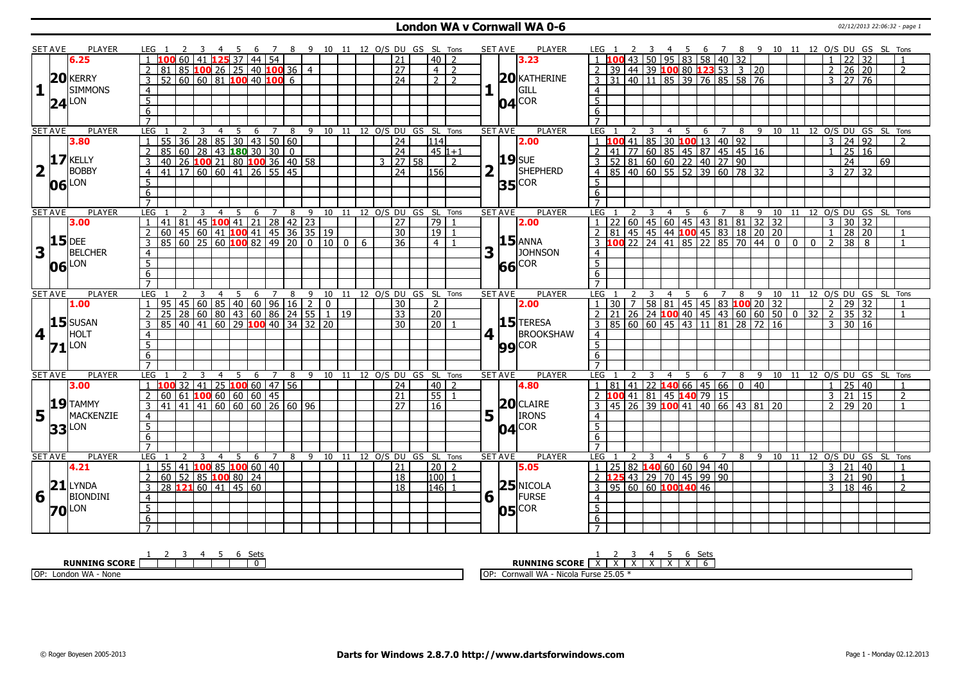### **London WA v Cornwall WA 0-6** 02/12/2013 22:06:32 - page 1

|                         | <b>SET AVE</b> | PLAYER              | LEG 1               |                                                |    |                | 45             |                                                              |   |                |   | 7 8 9 10 11 12 O/S DU GS SL Tons                                   |             |   |                 |                     |                              |                                    | <b>SET AVE</b> |                       | <b>PLAYER</b>  | LEG 1                                      |                                                                                    | $\overline{\mathbf{3}}$ |                | 4 5                                                                                         |         |     |   |                |                |          |          |                     |                     | 6 7 8 9 10 11 12 O/S DU GS SL Tons     |    |                |
|-------------------------|----------------|---------------------|---------------------|------------------------------------------------|----|----------------|----------------|--------------------------------------------------------------|---|----------------|---|--------------------------------------------------------------------|-------------|---|-----------------|---------------------|------------------------------|------------------------------------|----------------|-----------------------|----------------|--------------------------------------------|------------------------------------------------------------------------------------|-------------------------|----------------|---------------------------------------------------------------------------------------------|---------|-----|---|----------------|----------------|----------|----------|---------------------|---------------------|----------------------------------------|----|----------------|
|                         |                | 6.25                |                     |                                                |    |                |                | 60 41 125 37 44 54                                           |   |                |   |                                                                    |             |   | 21              |                     | $40$   2                     |                                    |                |                       | 3.23           |                                            |                                                                                    |                         |                | 43 50 95 83 58 40 32                                                                        |         |     |   |                |                |          |          |                     | 22 32               |                                        |    |                |
|                         |                |                     |                     | 81                                             |    |                |                | 85   <mark>100</mark> 26   25   40   <mark>100</mark> 36   4 |   |                |   |                                                                    |             |   | $\overline{27}$ |                     | $4 \mid 2$                   |                                    |                |                       |                | 2 <sub>1</sub>                             | 39 44 39 100 80 123 53 3 20                                                        |                         |                |                                                                                             |         |     |   |                |                |          |          |                     | $2 \mid 26 \mid 20$ |                                        |    | 2              |
|                         |                | $20$ <b>KERRY</b>   | $\mathsf{3}$        | $52$ 60 60 81 100 40 100 6                     |    |                |                |                                                              |   |                |   |                                                                    |             |   | $\overline{24}$ |                     | $2\sqrt{2}$                  |                                    |                |                       | $20$ KATHERINE |                                            | 3 31 40 11 85 39 76 85 58 76                                                       |                         |                |                                                                                             |         |     |   |                |                |          |          |                     | $3 \mid 27 \mid 76$ |                                        |    |                |
| $\mathbf{1}$            |                | <b>SIMMONS</b>      | $\overline{4}$      |                                                |    |                |                |                                                              |   |                |   |                                                                    |             |   |                 |                     |                              |                                    |                |                       | GILL           | $\overline{4}$                             |                                                                                    |                         |                |                                                                                             |         |     |   |                |                |          |          |                     |                     |                                        |    |                |
|                         |                |                     | $\overline{5}$      |                                                |    |                |                |                                                              |   |                |   |                                                                    |             |   |                 |                     |                              |                                    |                |                       |                | $\overline{5}$                             |                                                                                    |                         |                |                                                                                             |         |     |   |                |                |          |          |                     |                     |                                        |    |                |
|                         |                | $24$ LON            | $\overline{6}$      |                                                |    |                |                |                                                              |   |                |   |                                                                    |             |   |                 |                     |                              |                                    |                |                       | $04$ COR       | 6                                          |                                                                                    |                         |                |                                                                                             |         |     |   |                |                |          |          |                     |                     |                                        |    |                |
|                         |                |                     | $\overline{7}$      |                                                |    |                |                |                                                              |   |                |   |                                                                    |             |   |                 |                     |                              |                                    |                |                       |                | $\overline{7}$                             |                                                                                    |                         |                |                                                                                             |         |     |   |                |                |          |          |                     |                     |                                        |    |                |
|                         | <b>SET AVE</b> | <b>PLAYER</b>       | LEG                 | 2                                              |    | 3              | $\overline{4}$ | 5                                                            | 6 | 7              | 8 |                                                                    |             |   |                 |                     |                              | 9 10 11 12 O/S DU GS SL Tons       | <b>SET AVE</b> |                       | <b>PLAYER</b>  | LEG                                        | 2                                                                                  | 3                       | 4              | 5                                                                                           | 6       | 7   | 8 | -9             |                |          |          |                     |                     | 10 11 12 0/S DU GS SL Tons             |    |                |
|                         |                | 3.80                | $\mathbf{1}$        | $\overline{36}$<br>55                          | 28 |                |                | 85 30 43 50 60                                               |   |                |   |                                                                    |             |   | $\overline{24}$ |                     | 114                          |                                    |                |                       | 2.00           |                                            | 100 41 85 30 100 13 40 92<br>41 77 60 85 45 87 45 45 16<br>52 81 60 60 22 40 27 90 |                         |                |                                                                                             |         |     |   |                |                |          |          | $3 \mid 24 \mid 92$ |                     |                                        |    | $\overline{2}$ |
|                         |                |                     | $\overline{2}$      | 85                                             |    |                |                | 60   28   43   <mark>180</mark> 30   30   0                  |   |                |   |                                                                    |             |   | $\sqrt{24}$     |                     | l 45 l1+1                    |                                    |                |                       |                | $\mathcal{L}$                              |                                                                                    |                         |                |                                                                                             |         |     |   |                |                |          |          | $\mathbf{1}$        | 25 16               |                                        |    |                |
|                         |                | $17$ KELLY          | $\mathbf{3}$        | 40                                             |    |                |                | 26 100 21 80 100 36 40 58                                    |   |                |   |                                                                    |             |   |                 | $3 \mid 27 \mid 58$ |                              | $\overline{z}$                     |                |                       | <b>19</b> SUE  | 3 <sup>1</sup>                             |                                                                                    |                         |                |                                                                                             |         |     |   |                |                |          |          |                     | $\overline{24}$     |                                        | 69 |                |
| $\overline{2}$          |                | <b>BOBBY</b>        | $\overline{4}$      | 41 17 60 60 41 26 55 45                        |    |                |                |                                                              |   |                |   |                                                                    |             |   | 24              |                     | 156                          |                                    |                |                       | SHEPHERD       |                                            | 4 85 40 60 55 52 39 60 78 32                                                       |                         |                |                                                                                             |         |     |   |                |                |          |          | $3 \mid 27 \mid 32$ |                     |                                        |    |                |
|                         |                |                     |                     |                                                |    |                |                |                                                              |   |                |   |                                                                    |             |   |                 |                     |                              |                                    |                |                       |                | 5 <sup>5</sup>                             |                                                                                    |                         |                |                                                                                             |         |     |   |                |                |          |          |                     |                     |                                        |    |                |
|                         | 06             | LON                 | 5 <sub>1</sub><br>6 |                                                |    |                |                |                                                              |   |                |   |                                                                    |             |   |                 |                     |                              |                                    |                |                       | $35$ COR       | 6                                          |                                                                                    |                         |                |                                                                                             |         |     |   |                |                |          |          |                     |                     |                                        |    |                |
|                         |                |                     | $\overline{7}$      |                                                |    |                |                |                                                              |   |                |   |                                                                    |             |   |                 |                     |                              |                                    |                |                       |                | $\overline{7}$                             |                                                                                    |                         |                |                                                                                             |         |     |   |                |                |          |          |                     |                     |                                        |    |                |
|                         |                |                     |                     |                                                |    |                |                |                                                              |   |                |   |                                                                    |             |   |                 |                     |                              |                                    |                |                       |                |                                            |                                                                                    |                         |                |                                                                                             |         |     |   |                |                |          |          |                     |                     |                                        |    |                |
|                         | <b>SET AVE</b> | <b>PLAYER</b>       | LEG                 |                                                | -3 |                | $\overline{4}$ | 5                                                            | 6 | $\overline{7}$ | 8 |                                                                    |             |   |                 |                     |                              | 9 10 11 12 0/S DU GS SL Tons       | <b>SET AVE</b> |                       | PLAYER         | LEG                                        |                                                                                    | $\overline{3}$          | $\overline{4}$ | 5                                                                                           |         | 6 7 | 8 | $\overline{9}$ |                |          |          |                     |                     | 10 11 12 O/S DU GS SL Tons             |    |                |
|                         |                | 3.00                | $\overline{1}$      | 81<br>41                                       |    |                |                | 45 <b>100</b> 41 21 28 42 23                                 |   |                |   |                                                                    |             |   | 27              |                     | $\overline{79 1}$            |                                    |                |                       | 2.00           |                                            | 22                                                                                 |                         |                | 00   45   60   45   43   81   81   32   32<br>  45   45   44   100   45   83   18   20   20 |         |     |   |                |                |          |          | $\mathcal{E}$       | $30\overline{)32}$  |                                        |    |                |
|                         |                | $15$ DEE            | $\overline{2}$      | 60 45 60 41 100 41 45 36 35 19                 |    |                |                |                                                              |   |                |   |                                                                    |             |   | $\overline{30}$ |                     | $\boxed{19}$ $\boxed{1}$     |                                    |                |                       | <b>15</b> ANNA | $2 \mid 81$                                |                                                                                    |                         |                |                                                                                             |         |     |   |                |                |          |          | $\overline{1}$      | 28 20               |                                        |    | $\overline{1}$ |
|                         |                |                     | 3                   | 85                                             |    |                |                |                                                              |   |                |   | 60   25   60   100   82   49   20   0   10   0                     |             | 6 | 36              |                     | $4 \mid 1$                   |                                    |                |                       |                | $\overline{3}$ 100 22 24 41 85 22 85 70 44 |                                                                                    |                         |                |                                                                                             |         |     |   |                | $\overline{0}$ | $\Omega$ | $\Omega$ | $\mathcal{L}$       | $\overline{38}$     | $\mathsf{R}$                           |    | $\overline{1}$ |
| 3                       | $\mathbf{L}$   | <b>BELCHER</b>      | $\overline{4}$      |                                                |    |                |                |                                                              |   |                |   |                                                                    |             |   |                 |                     |                              |                                    | 3              |                       | JOHNSON        | $\overline{4}$                             |                                                                                    |                         |                |                                                                                             |         |     |   |                |                |          |          |                     |                     |                                        |    |                |
|                         |                | 06 LON              | 5                   |                                                |    |                |                |                                                              |   |                |   |                                                                    |             |   |                 |                     |                              |                                    |                |                       | 66 COR         | $\overline{5}$                             |                                                                                    |                         |                |                                                                                             |         |     |   |                |                |          |          |                     |                     |                                        |    |                |
|                         |                |                     | 6                   |                                                |    |                |                |                                                              |   |                |   |                                                                    |             |   |                 |                     |                              |                                    |                |                       |                | 6                                          |                                                                                    |                         |                |                                                                                             |         |     |   |                |                |          |          |                     |                     |                                        |    |                |
|                         |                |                     | $\overline{7}$      |                                                |    |                |                |                                                              |   |                |   |                                                                    |             |   |                 |                     |                              |                                    |                |                       |                |                                            |                                                                                    |                         |                |                                                                                             |         |     |   |                |                |          |          |                     |                     |                                        |    |                |
|                         | <b>SET AVE</b> | <b>PLAYER</b>       | <b>LEG</b>          |                                                |    | $\overline{3}$ | $\overline{4}$ | 5                                                            |   |                |   |                                                                    |             |   |                 |                     |                              | 6 7 8 9 10 11 12 0/S DU GS SL Tons | <b>SET AVE</b> |                       | <b>PLAYER</b>  | LEG 1                                      |                                                                                    |                         |                |                                                                                             |         |     |   |                |                |          |          |                     |                     |                                        |    |                |
|                         |                | 1.00                |                     | 95                                             |    |                |                |                                                              |   |                |   | $45 \mid 60 \mid 85 \mid 40 \mid 60 \mid 96 \mid 16 \mid 2 \mid 0$ |             |   | 30              |                     | $\overline{2}$               |                                    |                |                       | 2.00           |                                            | 30 <sup>1</sup><br>$\overline{7}$                                                  |                         |                |                                                                                             |         |     |   |                |                |          |          |                     |                     |                                        |    |                |
|                         |                |                     | 2                   | 25                                             |    |                |                | 28 60 80 43 60 86 24 55                                      |   |                |   |                                                                    | $1 \mid 19$ |   | 33              |                     | $\overline{20}$              |                                    |                |                       |                |                                            |                                                                                    |                         |                | 26 24 100 40 45 43 60 60 50 0                                                               |         |     |   |                |                |          | 32       | $\sqrt{2}$          | 35                  | 32                                     |    | $\overline{1}$ |
|                         |                | $15$ SUSAN          | $\overline{3}$      | 85 40 41 60 29 100 40 34 32 20                 |    |                |                |                                                              |   |                |   |                                                                    |             |   | $\overline{30}$ |                     | $\overline{20}$              |                                    |                |                       | 15 TERESA      | $\overline{3}$                             | 85 60 60 45 43 11 81 28 72 16                                                      |                         |                |                                                                                             |         |     |   |                |                |          |          | $3 \mid 30 \mid 16$ |                     |                                        |    |                |
| $\overline{\mathbf{4}}$ |                | HOLT                | 4                   |                                                |    |                |                |                                                              |   |                |   |                                                                    |             |   |                 |                     |                              |                                    | $\vert$        |                       | BROOKSHAW      | $\overline{4}$                             |                                                                                    |                         |                |                                                                                             |         |     |   |                |                |          |          |                     |                     |                                        |    |                |
|                         |                | $71$ <sup>LON</sup> | $\overline{5}$      |                                                |    |                |                |                                                              |   |                |   |                                                                    |             |   |                 |                     |                              |                                    |                |                       | $99$ COR       | $\overline{5}$                             |                                                                                    |                         |                |                                                                                             |         |     |   |                |                |          |          |                     |                     |                                        |    |                |
|                         |                |                     | $6 \overline{6}$    |                                                |    |                |                |                                                              |   |                |   |                                                                    |             |   |                 |                     |                              |                                    |                |                       |                | 6                                          |                                                                                    |                         |                |                                                                                             |         |     |   |                |                |          |          |                     |                     |                                        |    |                |
|                         |                |                     | $\overline{7}$      |                                                |    |                |                |                                                              |   |                |   |                                                                    |             |   |                 |                     |                              |                                    |                |                       |                | $\overline{7}$                             |                                                                                    |                         |                |                                                                                             |         |     |   |                |                |          |          |                     |                     |                                        |    |                |
|                         | <b>SET AVE</b> | <b>PLAYER</b>       | LEG                 |                                                |    |                | $\overline{4}$ | 5                                                            | 6 | $\overline{7}$ | 8 |                                                                    |             |   |                 |                     | 9 10 11 12 0/S DU GS SL Tons |                                    | <b>SET AVE</b> |                       | <b>PLAYER</b>  | LEG                                        |                                                                                    |                         | $\overline{4}$ |                                                                                             | 5 6 7 8 |     |   |                |                |          |          |                     |                     | 9 10 11 12 0/S DU GS SL Tons           |    |                |
|                         |                | 3.00                | $\mathbf{1}$        | 100 32   41   25 <mark>100</mark> 60   47   56 |    |                |                |                                                              |   |                |   |                                                                    |             |   | 24              |                     | $40$   2                     |                                    |                |                       | 4.80           |                                            | 81                                                                                 |                         |                | $ 41 22$ <b>140</b> 66 45 66 0                                                              |         |     |   | $ 40\rangle$   |                |          |          | $\mathbf{1}$        | 25                  | 40                                     |    | $\overline{1}$ |
|                         |                |                     | $2^{\circ}$         | 60                                             |    |                |                | $61$ 100 60 60 60 45                                         |   |                |   |                                                                    |             |   | 21              |                     | 5511                         |                                    |                |                       |                |                                            | 2 100 41 81 45 140 79 15                                                           |                         |                |                                                                                             |         |     |   |                |                |          |          | $\mathbf{3}$        | $\overline{21}$     | 15                                     |    | 2              |
|                         |                | 19 TAMMY            | 3                   | 41 41 41 60 60 60 26 60 96                     |    |                |                |                                                              |   |                |   |                                                                    |             |   | $\overline{27}$ |                     | $\sqrt{16}$                  |                                    |                |                       | $20$ CLAIRE    |                                            | 3 45 26 39 100 41 40 66 43 81 20                                                   |                         |                |                                                                                             |         |     |   |                |                |          |          | $\mathcal{P}$       | 29   20             |                                        |    | $\overline{1}$ |
| 5                       |                | MACKENZIE           | $\overline{4}$      |                                                |    |                |                |                                                              |   |                |   |                                                                    |             |   |                 |                     |                              |                                    |                | $5\vert$ <sup>T</sup> | <b>IRONS</b>   | $\overline{4}$                             |                                                                                    |                         |                |                                                                                             |         |     |   |                |                |          |          |                     |                     |                                        |    |                |
|                         | 33             | <b>LON</b>          | $\overline{5}$      |                                                |    |                |                |                                                              |   |                |   |                                                                    |             |   |                 |                     |                              |                                    |                |                       | $04$ COR       | $\overline{5}$                             |                                                                                    |                         |                |                                                                                             |         |     |   |                |                |          |          |                     |                     |                                        |    |                |
|                         |                |                     | $\overline{6}$      |                                                |    |                |                |                                                              |   |                |   |                                                                    |             |   |                 |                     |                              |                                    |                |                       |                | 6                                          |                                                                                    |                         |                |                                                                                             |         |     |   |                |                |          |          |                     |                     |                                        |    |                |
|                         |                |                     | $\overline{7}$      |                                                |    |                |                |                                                              |   |                |   |                                                                    |             |   |                 |                     |                              |                                    |                |                       |                | $\overline{7}$                             |                                                                                    |                         |                |                                                                                             |         |     |   |                |                |          |          |                     |                     |                                        |    |                |
|                         | <b>SET AVE</b> | <b>PLAYER</b>       | LEG                 |                                                |    | 3              | $\overline{4}$ | 5                                                            |   | 6 7            |   | 8 9 10 11 12 O/S DU GS SL Tons                                     |             |   |                 |                     |                              |                                    | <b>SET AVE</b> |                       | <b>PLAYER</b>  | LEG <sub>1</sub>                           |                                                                                    | 3                       |                |                                                                                             |         |     |   |                |                |          |          |                     |                     | 4 5 6 7 8 9 10 11 12 O/S DU GS SL Tons |    |                |
|                         |                | 4.21                | $\mathbf{1}$        | 55 41 100 85 100 60 40                         |    |                |                |                                                              |   |                |   |                                                                    |             |   | 21              |                     | 20   2                       |                                    |                |                       | 5.05           | $\overline{1}$                             | $25 \mid 82 \mid 140 \mid 60 \mid 60 \mid 94 \mid 40$                              |                         |                |                                                                                             |         |     |   |                |                |          |          | 3   21              |                     | 40                                     |    | $\overline{1}$ |
|                         |                |                     | $\overline{2}$      | 60                                             |    |                |                | $52$ 85 100 80 24                                            |   |                |   |                                                                    |             |   | <sup>18</sup>   |                     | 100                          | $\overline{1}$                     |                |                       |                |                                            | 2 125 43 29 70 45 99 90                                                            |                         |                |                                                                                             |         |     |   |                |                |          |          | $\overline{3}$      | 21                  | 90                                     |    | $\mathbf{1}$   |
|                         |                | $21$ LYNDA          | 3                   | $28$ <b>121</b> 60   41   45   60              |    |                |                |                                                              |   |                |   |                                                                    |             |   | 18              |                     | $ 146 $ 1                    |                                    |                |                       | $25$ NICOLA    |                                            | 3   95   60   60   100140   46                                                     |                         |                |                                                                                             |         |     |   |                |                |          |          | 3 18 46             |                     |                                        |    | $\overline{2}$ |
| 6                       |                | <b>BIONDINI</b>     | $\overline{4}$      |                                                |    |                |                |                                                              |   |                |   |                                                                    |             |   |                 |                     |                              |                                    |                | $6\sqrt{ }$           | <b>FURSE</b>   | $\overline{4}$                             |                                                                                    |                         |                |                                                                                             |         |     |   |                |                |          |          |                     |                     |                                        |    |                |
|                         |                |                     | $\overline{5}$      |                                                |    |                |                |                                                              |   |                |   |                                                                    |             |   |                 |                     |                              |                                    |                |                       | <b>COR</b>     | $\overline{5}$                             |                                                                                    |                         |                |                                                                                             |         |     |   |                |                |          |          |                     |                     |                                        |    |                |
|                         |                | <b>70</b> LON       | 6                   |                                                |    |                |                |                                                              |   |                |   |                                                                    |             |   |                 |                     |                              |                                    |                | 05                    |                | 6                                          |                                                                                    |                         |                |                                                                                             |         |     |   |                |                |          |          |                     |                     |                                        |    |                |
|                         |                |                     | $\overline{ }$      |                                                |    |                |                |                                                              |   |                |   |                                                                    |             |   |                 |                     |                              |                                    |                |                       |                |                                            |                                                                                    |                         |                |                                                                                             |         |     |   |                |                |          |          |                     |                     |                                        |    |                |
|                         |                |                     |                     |                                                |    |                |                |                                                              |   |                |   |                                                                    |             |   |                 |                     |                              |                                    |                |                       |                |                                            |                                                                                    |                         |                |                                                                                             |         |     |   |                |                |          |          |                     |                     |                                        |    |                |

| ∕†مک<br>ັບປະ               | ٠at<br>ັບປະ                                                       |
|----------------------------|-------------------------------------------------------------------|
| <b>SCOR</b><br>TNC<br>ขม   | <b>RUNNING SCORE</b><br>$\ddot{\phantom{1}}$<br>$\cdot$           |
| OP.<br>London WA<br>- None | 25.05<br>'' WA<br>Nicola .<br>TOP.<br><b>Furse</b><br>Cornwa<br>. |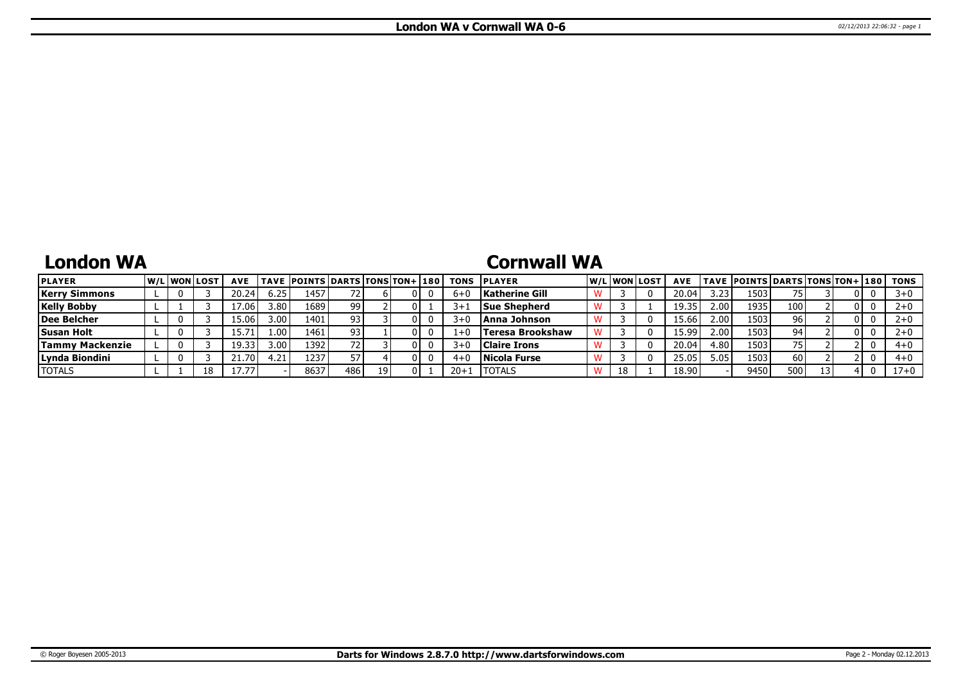### **London WA**

# **Cornwall WA**

| <b>PLAYER</b>          |  | W/Liwonilost | <b>AVE</b>           |                   | <b>TAVE POINTS DARTS TONS TON+ 180</b> |     |    |     | <b>TONS</b> | <b>IPLAYER</b>      |    | W/Liwonilost | <b>AVE</b> |                   | TAVE  POINTS   DARTS   TONS   TON+   180 |      |    |     | TONS     |
|------------------------|--|--------------|----------------------|-------------------|----------------------------------------|-----|----|-----|-------------|---------------------|----|--------------|------------|-------------------|------------------------------------------|------|----|-----|----------|
| <b>Kerry Simmons</b>   |  |              | 20.24                | 6.25              | 1457                                   |     |    | 01  | $6 + C$     | Katherine Gill      |    |              | 20.04      | 3.23              | 1503                                     | 75   |    | 01  |          |
| <b>Kelly Bobby</b>     |  |              | 7.061                | ا 3.80            | 1689                                   | 99  |    | OΙ  | $3+$        | Sue Shepherd        |    |              | 19.35      | 2.00 <sub>l</sub> | 1935                                     | 100  |    | 01  |          |
| Dee Belcher            |  |              | 15.061               | 3.00              | 1401                                   | 93  |    | OΙ  | 3+0         | Anna Johnson        |    |              | 15.66      | 2.00 <sub>l</sub> | 1503                                     | 96 i |    | 0 I |          |
| <b>Susan Holt</b>      |  |              |                      | 1.00 <sup>1</sup> | 1461                                   | 93  |    | 01  | $1+0$       | Teresa Brookshaw    |    |              | 15.99      | 2.00 <sub>l</sub> | 1503                                     | 94.  |    | 0 L |          |
| <b>Tammy Mackenzie</b> |  |              | 19.33                | 3.00 l            | 1392                                   |     |    | 01  | 3+0         | <b>Claire Irons</b> |    |              | 20.04      | 4.80 l            | 1503                                     | 75   |    |     | $4 + 0$  |
| Lynda Biondini         |  |              | $21.70$ <sup>1</sup> | l.21              | 1237                                   |     |    | 0 I |             | Nicola Furse        |    |              | 25.05      | 5.05              | 1503                                     | 60   |    |     | $4 + 0$  |
| <b>TOTALS</b>          |  | 18           | 17.77                |                   | 8637                                   | 486 | 19 | 01  |             | <b>ITOTALS</b>      | 18 |              | 18.90      |                   | 9450                                     | 500  | 13 |     | $17 + 0$ |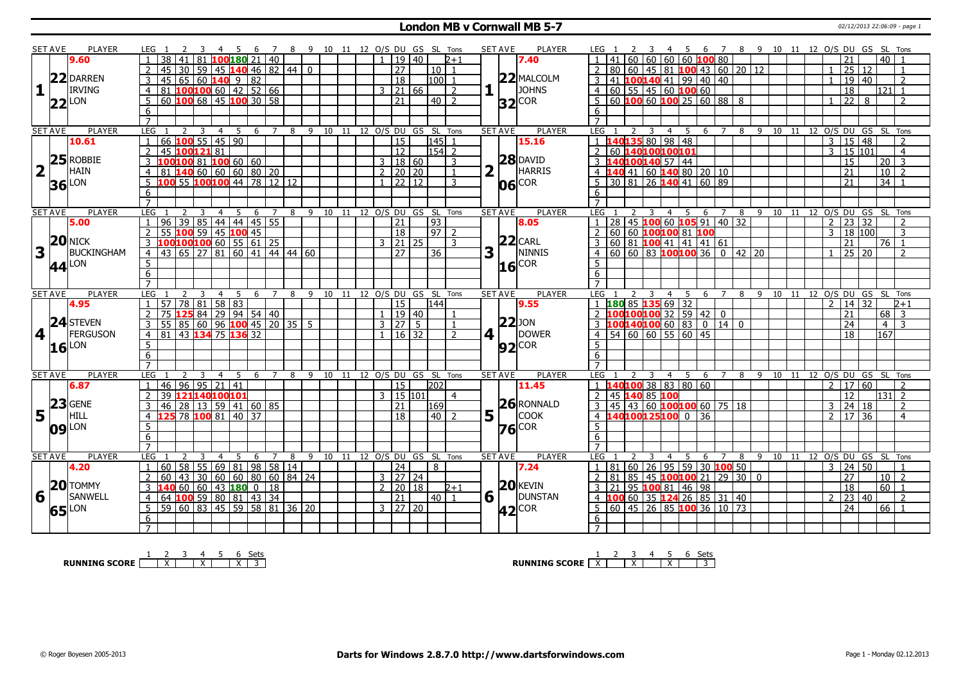#### **London MB v Cornwall MB 5-7** 02/12/2013 22:06:09 - page 1

|                         | SET AVE        | <b>PLAYER</b>       | LEG 1                                    |           | -5                                          |    | $\overline{7}$ |   | - 9                          | 10 11 12 O/S DU GS SL Tons |  |                      |       |                    |                          | <b>SET AVE</b>       | <b>PLAYER</b>     | 10 11 12 O/S DU GS SL Tons<br>LEG 1<br>- 45<br>6789                                                             |
|-------------------------|----------------|---------------------|------------------------------------------|-----------|---------------------------------------------|----|----------------|---|------------------------------|----------------------------|--|----------------------|-------|--------------------|--------------------------|----------------------|-------------------|-----------------------------------------------------------------------------------------------------------------|
|                         |                | 9.60                | 38                                       |           | 00180121                                    |    |                |   |                              |                            |  | l 19 l               | 40    |                    | D+1                      |                      | 7.40              | 60 60 60 100 80<br>60 <sup>1</sup><br>40 l                                                                      |
|                         |                |                     | 45<br>30                                 |           | 59   45   <mark>140</mark> 46   82   44   0 |    |                |   |                              |                            |  | 27                   |       | 10 <sup>1</sup>    |                          |                      |                   | 80<br>60 45 81 100 43 60 20 12<br>25<br>  12                                                                    |
|                         |                | 22 DARREN           | 45<br>3<br>65                            |           | $60$ 140 9 82                               |    |                |   |                              |                            |  | $\overline{18}$      |       | 100                |                          |                      | $22$ MALCOLM      | 41 100140 41 99 40 40<br>19   40<br>3<br>$\overline{z}$                                                         |
| 1                       | $\mathbf{I}$   | <b>IRVING</b>       | 81 100100 60 42 52 66<br>$\overline{4}$  |           |                                             |    |                |   |                              |                            |  | $3 \mid 21 \mid 66$  |       |                    | $\overline{2}$           |                      | <b>JOHNS</b>      | $60$ 55 45 60 100 60<br>$\overline{18}$<br>l121   1<br>$\overline{4}$                                           |
|                         |                |                     | $\overline{60}$ 100 68 45 100 30 58<br>5 |           |                                             |    |                |   |                              |                            |  | 21                   |       | $40$   2           |                          |                      |                   | $60$ 100 60 100 25 60 88 8<br>$\overline{22}$<br>8<br>5<br>$\overline{1}$<br>$\mathcal{D}$                      |
|                         |                | $22$ LON            | 6                                        |           |                                             |    |                |   |                              |                            |  |                      |       |                    |                          |                      | $32$ COR          | 6                                                                                                               |
|                         |                |                     | $\overline{7}$                           |           |                                             |    |                |   |                              |                            |  |                      |       |                    |                          |                      |                   |                                                                                                                 |
|                         | <b>SET AVE</b> | <b>PLAYER</b>       | <b>LEG</b><br>2                          | 3         | -5<br>4                                     | 6  | $\overline{7}$ | 8 | 9 10 11 12 O/S DU GS SL Tons |                            |  |                      |       |                    |                          | <b>SET AVE</b>       | <b>PLAYER</b>     | LEG<br>8 9 10 11 12 O/S DU GS SL Tons<br>4 5<br>6 7<br>3                                                        |
|                         |                | 10.61               | 66 100 55 45 90<br>$\mathbf{1}$          |           |                                             |    |                |   |                              |                            |  | $\overline{15}$      |       | 145 1              |                          |                      | 15.16             | 140135 80 98 48<br>$3 \mid 15 \mid 48$<br>$\mathcal{L}$                                                         |
|                         |                |                     | 45 100 121 81<br>$\overline{2}$          |           |                                             |    |                |   |                              |                            |  | 12                   |       | $\overline{154}$ 2 |                          |                      |                   | 60 140100100101<br>3   15   101<br>2<br>$\overline{4}$                                                          |
|                         |                | $25$ ROBBIE         | 3<br>00 100 81 100 60 60                 |           |                                             |    |                |   |                              |                            |  | 3   18   60          |       |                    | 3                        |                      | $28$ DAVID        | 140 <mark>100140</mark> 57 44<br>$20\overline{3}$<br>15                                                         |
| $\overline{\mathbf{2}}$ | $\mathbf{1}$   | HAIN                |                                          |           |                                             |    |                |   |                              |                            |  |                      |       |                    |                          |                      | HARRIS            | 140 41 60 140 80 20 10                                                                                          |
|                         |                |                     | 81<br>$\overline{4}$                     |           | $140$ 60 60 60 80 20                        |    |                |   |                              |                            |  | 2   20   20          |       |                    |                          |                      |                   | $\overline{21}$<br>$10$   2                                                                                     |
|                         |                | <b>36</b> LON       | 100 55 100100 44 78 12 12<br>5           |           |                                             |    |                |   |                              |                            |  | 22 12                |       |                    | 3                        |                      | 06 COR            | $\overline{34}$<br>5<br>30 81 26 140 41 60 89<br>21                                                             |
|                         |                |                     | 6                                        |           |                                             |    |                |   |                              |                            |  |                      |       |                    |                          |                      |                   | 6                                                                                                               |
|                         |                |                     | $\overline{7}$                           |           |                                             |    |                |   |                              |                            |  |                      |       |                    |                          |                      |                   |                                                                                                                 |
|                         | <b>SET AVE</b> | <b>PLAYER</b>       | LEG                                      |           | 5<br>$\overline{4}$                         | 6  | $\overline{7}$ | 8 | 9                            | 10<br>11                   |  | 12 O/S DU GS SL      |       |                    | Tons                     | <b>SET AVE</b>       | <b>PLAYER</b>     | $9 \t10$<br>12 0/S DU GS<br><b>LEG</b><br>$\overline{4}$<br>5<br>6<br>8<br>11<br>SL Tons<br>3<br>$\overline{7}$ |
|                         |                | 5.00                | 96<br>$\overline{39}$                    |           | 85 44 44 45 55                              |    |                |   |                              |                            |  | 21                   |       | 93                 |                          |                      | 8.05              | 45 100 60 105 91 40 32<br>$\overline{28}$<br>$\overline{23}$<br>$\overline{32}$<br>2                            |
|                         |                | $20$ NICK           | $\overline{2}$<br>55<br>100              |           | 59 45 100 45                                |    |                |   |                              |                            |  | 18                   |       | $97$   2           |                          |                      | $22$ CARL         | 60 60 100100 81 100<br>3<br>  18   100  <br>$\overline{3}$<br>$\overline{2}$                                    |
|                         |                |                     | 100100100 60 55 61 25<br>3               |           |                                             |    |                |   |                              |                            |  | $3 \mid 21 \mid 25$  |       |                    | 3                        |                      |                   | 60   81   100   41   41   41   61<br>76 1<br>21                                                                 |
| 3                       |                | <b>BUCKINGHAM</b>   | $\overline{4}$<br>43                     |           | $65$ 27 81 60 41 44 44 60                   |    |                |   |                              |                            |  | $\overline{27}$      |       | 36                 |                          | 3                    | NINNIS            | $60   60   83$ 100100 36 0 42 20<br>25 20<br>$\overline{2}$<br>$\overline{4}$                                   |
|                         |                | 44 LON              | $\overline{5}$                           |           |                                             |    |                |   |                              |                            |  |                      |       |                    |                          |                      | $16$ COR          |                                                                                                                 |
|                         |                |                     | 6                                        |           |                                             |    |                |   |                              |                            |  |                      |       |                    |                          |                      |                   | 6                                                                                                               |
|                         |                |                     | $\overline{7}$                           |           |                                             |    |                |   |                              |                            |  |                      |       |                    |                          |                      |                   |                                                                                                                 |
|                         | <b>SET AVE</b> | <b>PLAYER</b>       | LEG                                      |           | $\overline{4}$<br>-5                        | 6  | $\overline{7}$ | 8 | 9                            | 10 11 12 O/S DU GS SL      |  |                      |       |                    | Tons                     | <b>SET AVE</b>       | <b>PLAYER</b>     | LEG<br>12 O/S DU GS SL Tons<br>8 9<br>4<br>-5<br>6 7<br>10<br>$-11$                                             |
|                         |                | 4.95                | 57                                       |           | 78 81 58 83<br><b>125</b> 84 29 94 54 40    |    |                |   |                              |                            |  | 15                   |       | 144                |                          |                      | 9.55              | <mark>180</mark> 85 <mark>135</mark> 69 32<br>14<br>l 32.<br>$2+1$<br>$\mathcal{L}$                             |
|                         |                |                     | 2<br>75                                  |           |                                             |    |                |   |                              |                            |  |                      | 19 40 |                    |                          |                      | $22$ JON          | LOO100100 32 59 42 0<br>21<br>68 3                                                                              |
|                         |                | 24 STEVEN           | 3<br>55                                  |           | 85 60 96 100 45 20 35 5<br>43 134 75 136 32 |    |                |   |                              |                            |  | 3 27 5               |       |                    | -1                       |                      |                   | <b>100140100</b> 60 83 0 14 0<br>54 60 60 55 60 45<br>24<br>4 3                                                 |
| 4                       |                | FERGUSON            | $\overline{4}$<br>81                     |           |                                             |    |                |   |                              |                            |  | $1 \mid 16 \mid 32$  |       |                    | $\overline{2}$           | $4$   $\overline{ }$ | <b>DOWER</b>      | 167 <br>4<br>18                                                                                                 |
|                         |                | $16$ <sup>LON</sup> | 5 <sup>2</sup>                           |           |                                             |    |                |   |                              |                            |  |                      |       |                    |                          |                      | $92$ COR          | $5\overline{)}$                                                                                                 |
|                         |                |                     | $\overline{6}$                           |           |                                             |    |                |   |                              |                            |  |                      |       |                    |                          |                      |                   | 6                                                                                                               |
|                         |                |                     | $\overline{7}$                           |           |                                             |    |                |   |                              |                            |  |                      |       |                    |                          |                      |                   | $\overline{7}$                                                                                                  |
|                         | <b>SET AVE</b> | <b>PLAYER</b>       | LEG                                      | 3         | 5<br>$\overline{4}$                         | -6 | $\overline{7}$ | 8 | 9                            | 10 11 12 O/S DU GS SL Tons |  |                      |       |                    |                          | <b>SET AVE</b>       | <b>PLAYER</b>     | LEG<br>$\overline{4}$<br>$\overline{5}$<br>6 7<br>- 8<br>- 9<br>10<br>12 O/S DU<br>GS SL Tons<br>11             |
|                         |                | 6.87                | 46<br>$\mathbf{1}$                       |           | $96$   95   21   41                         |    |                |   |                              |                            |  | $\overline{15}$      |       | $\overline{202}$   |                          |                      | 11.45             | L40 <mark>100</mark> 38 83 80 60<br>17 60<br>$\overline{2}$<br>$1 \;$ $\sf 1$<br>$\overline{2}$                 |
|                         |                |                     | $\overline{2}$<br>39                     |           | 121140100101                                |    |                |   |                              |                            |  | $3 \mid 15 \mid 101$ |       |                    | $\overline{4}$           |                      |                   | 45 140 85 100<br>2<br>12<br>$131$ 2                                                                             |
|                         |                | $23$ GENE           | 3<br>46                                  |           | 28 13 59 41 60 85                           |    |                |   |                              |                            |  | 21                   |       | 169                |                          |                      | 26 RONNALD        | $45 \mid 43 \mid 60$ 100100 60 75 18<br>3<br>  24   18<br>$\overline{2}$<br>3                                   |
| 5                       | $\mathbf{I}$   | HILL                | $\overline{4}$                           | 78 100 81 | $\overline{40}$                             | 37 |                |   |                              |                            |  | $\overline{18}$      |       | 40 <sup>1</sup>    | $\overline{\phantom{0}}$ | 5                    | <b>COOK</b>       | 40100125100 0 36<br>17 36<br>$\overline{4}$<br>$\mathcal{P}$<br>$\overline{4}$                                  |
|                         |                | $09$ <sup>LON</sup> | $\overline{5}$                           |           |                                             |    |                |   |                              |                            |  |                      |       |                    |                          |                      | $76$ COR          | 5                                                                                                               |
|                         |                |                     | $\overline{6}$                           |           |                                             |    |                |   |                              |                            |  |                      |       |                    |                          |                      |                   | 6                                                                                                               |
|                         |                |                     | $\overline{7}$                           |           |                                             |    |                |   |                              |                            |  |                      |       |                    |                          |                      |                   | $\overline{7}$                                                                                                  |
|                         | <b>SET AVE</b> | <b>PLAYER</b>       | LEG                                      |           | 5<br>$\overline{4}$                         | 6  | 7              | 8 | 9                            | 10<br>- 11                 |  | 12 O/S DU GS SL Tons |       |                    |                          | <b>SET AVE</b>       | <b>PLAYER</b>     | LEG<br>12 O/S DU GS SL Tons<br>$\overline{4}$<br>-5<br>6 7<br>8<br>9 10<br>11                                   |
|                         |                | 4.20                | 60<br>58<br>$\mathbf{1}$                 |           | 55 69 81                                    |    | 98   58   14   |   |                              |                            |  | $\overline{24}$      |       | 8                  |                          |                      | 7.24              | 60 26 95 59 30 100 50<br>$\vert$ 24 $\vert$ 50<br>81<br>$\overline{3}$                                          |
|                         |                |                     | 60<br>43<br>$\overline{2}$               |           | 30   60   60   80   60   84   24            |    |                |   |                              |                            |  | 3   27   24          |       |                    |                          |                      |                   | 85 45 100100 21 29 30 0<br>81<br>$\overline{27}$<br>$10$   2                                                    |
|                         |                | $20$ TOMMY          | 3<br>140                                 |           | 60   60   43   180   0   18                 |    |                |   |                              |                            |  | 2   20   18          |       |                    | $2 + 1$                  |                      | $20$ <b>KEVIN</b> | 21   95   100   81   46   98<br>$\overline{18}$<br>$60$   1<br>3                                                |
| 6                       | $\vert \vert$  | SANWELL             | $\overline{4}$<br>64                     |           | 100 59 80 81 43 34                          |    |                |   |                              |                            |  | $\overline{21}$      |       | $40$   1           |                          | 6                    | DUNSTAN           | 100 60 35 124 26 85 31 40<br>23   40<br>$\overline{4}$<br>2<br>$\overline{2}$                                   |
|                         |                | 65 LON              | 59 60 83 45 59 58 81 36 20<br>5          |           |                                             |    |                |   |                              |                            |  | $3 \ 27 \ 20$        |       |                    |                          |                      | $ 42 ^{COR}$      | 60   45   26   85   100 36   10   73<br>$\overline{24}$<br>$66$   1<br>5                                        |
|                         |                |                     | 6                                        |           |                                             |    |                |   |                              |                            |  |                      |       |                    |                          |                      |                   | 6                                                                                                               |
|                         |                |                     |                                          |           |                                             |    |                |   |                              |                            |  |                      |       |                    |                          |                      |                   |                                                                                                                 |

**RUNNING SCORE**  $\begin{array}{|c|c|c|c|c|}\n\hline\n & 2 & 3 & 4 & 5 & 6 & \text{Sets} \\
\hline\n\end{array}$ 

**RUNNING SCORE**  $\begin{array}{|c|c|c|c|c|}\n\hline\n\textbf{1} & \textbf{2} & \textbf{3} & \textbf{4} & \textbf{5} & \textbf{6} & \textbf{Sets} \\
\hline\n\textbf{5} & \textbf{5} & \textbf{6} & \textbf{7} & \textbf{8} & \textbf{8} & \textbf{14} \\
\hline\n\textbf{6} & \textbf{7} & \textbf{8} & \textbf{9} & \textbf{14} & \textbf{15} & \textbf{15} & \textbf{15} \\
\hline\n\textbf{7} & \textbf{8$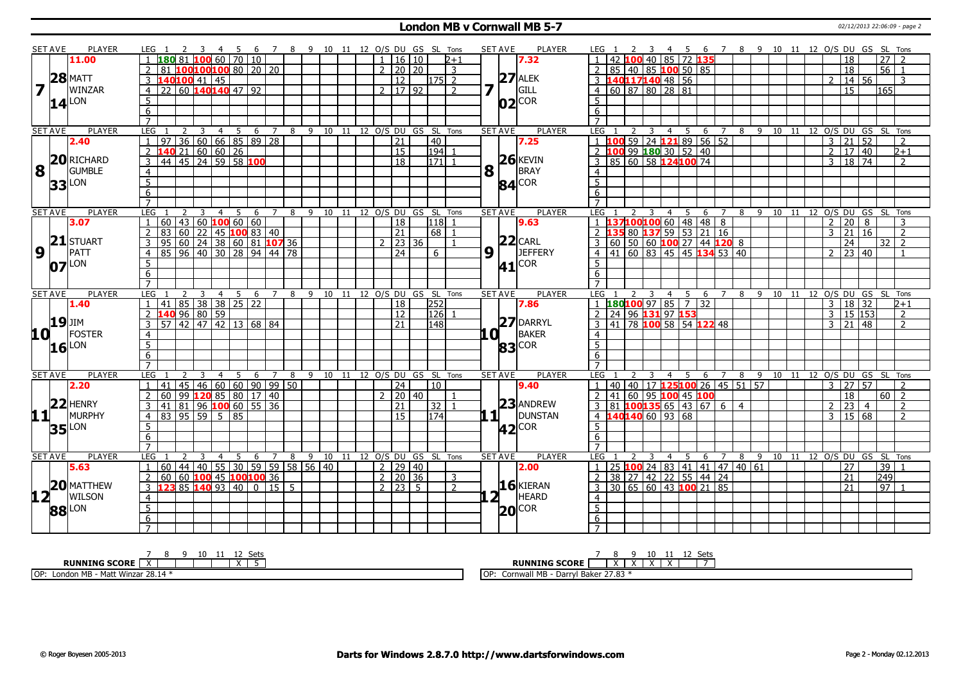### **London MB v Cornwall MB 5-7** 02/12/2013 22:06:09 - page 2

|                         | SET AVE        | <b>PLAYER</b>       | LEG 1                                   |                                      | 4 5            | - 6                              |                  |     |                  |    |               |                       | 7 8 9 10 11 12 O/S DU GS SL Tons | <b>SET AVE</b>     | <b>PLAYER</b>      | LEG 1<br>45                                           | 6 7 8 9 10 11 12 O/S DU GS SL Tons |         |                                |                       |                                   |                      |                  |                                  |
|-------------------------|----------------|---------------------|-----------------------------------------|--------------------------------------|----------------|----------------------------------|------------------|-----|------------------|----|---------------|-----------------------|----------------------------------|--------------------|--------------------|-------------------------------------------------------|------------------------------------|---------|--------------------------------|-----------------------|-----------------------------------|----------------------|------------------|----------------------------------|
|                         |                | 11.00               | 180 81                                  |                                      |                | $100$ 60 70 10                   |                  |     |                  |    |               | 1   16   10           | $2 + 1$                          |                    | 7.32               | 42 100 40 85 72 135                                   |                                    |         |                                |                       |                                   | 18                   | $\overline{27}$  |                                  |
|                         |                |                     |                                         | 100100100 80   20   20               |                |                                  |                  |     |                  |    | $\mathcal{P}$ | 20 20                 | 3                                |                    |                    | 85   40   85   <mark>100</mark> 50   85               |                                    |         |                                |                       |                                   | 18                   | $56$   1         |                                  |
|                         |                | $28$ MATT           | 140 <mark>100</mark> 41 45              |                                      |                |                                  |                  |     |                  |    |               | 12                    | $\overline{2}$<br>1751           |                    | $27$ ALEK          | 3 140117140 48 56                                     |                                    |         |                                |                       |                                   | 14 56                |                  | 3                                |
| $\overline{\mathbf{z}}$ |                | WINZAR              | 22 60 140 140 47 92<br>$\overline{4}$   |                                      |                |                                  |                  |     |                  |    |               | 2  17  92             | $\overline{z}$                   | 7                  | GILL               | 4 60 87 80 28 81                                      |                                    |         |                                |                       | $\overline{15}$                   |                      | 165              |                                  |
|                         |                | $14$ <sup>LON</sup> | 5                                       |                                      |                |                                  |                  |     |                  |    |               |                       |                                  |                    | $ 02 ^{COR}$       | 5                                                     |                                    |         |                                |                       |                                   |                      |                  |                                  |
|                         |                |                     | 6                                       |                                      |                |                                  |                  |     |                  |    |               |                       |                                  |                    |                    | 6                                                     |                                    |         |                                |                       |                                   |                      |                  |                                  |
|                         |                |                     | $\overline{7}$                          |                                      |                |                                  |                  |     |                  |    |               |                       |                                  |                    |                    | $\overline{7}$                                        |                                    |         |                                |                       |                                   |                      |                  |                                  |
|                         | <b>SET AVE</b> | <b>PLAYER</b>       | LEG                                     | 3                                    | 4              | -5<br>6                          | 7                | 8   |                  |    |               |                       | 9 10 11 12 O/S DU GS SL Tons     | <b>SET AVE</b>     | <b>PLAYER</b>      | <b>LEG</b><br>4<br>-5                                 | 6<br>7                             |         | 8 9 10 11 12 0/S DU GS SL Tons |                       |                                   |                      |                  |                                  |
|                         |                | 2.40                | $\overline{36}$<br>97                   |                                      |                | (60   66   85   89   28)         |                  |     |                  |    |               | $\overline{21}$       | $\sqrt{40}$                      |                    | 7.25               | 1 <b>100</b> 59 24 <b>121</b> 89 56 52                |                                    |         |                                |                       | $\overline{3}$                    | 21 52                |                  | $\mathcal{L}$                    |
|                         |                |                     | $\overline{2}$<br>140 21                | 60 60 26                             |                |                                  |                  |     |                  |    |               | 15                    | 1941                             |                    |                    | 2 100 99 180 30 52 40                                 |                                    |         |                                |                       | $\overline{2}$                    | 17   40              |                  | $2 + 1$                          |
|                         |                | 20 RICHARD          | 3<br>44                                 | 145 24 59 58 100                     |                |                                  |                  |     |                  |    |               | $\overline{18}$       | 171                              |                    | $26$ <b>KEVIN</b>  | 3   85   60   58   124   100   74                     |                                    |         |                                |                       | 3                                 | $18 \overline{)74}$  |                  | $\mathcal{L}$                    |
| $8^{\text{h}}$          |                | <b>GUMBLE</b>       | $\overline{4}$                          |                                      |                |                                  |                  |     |                  |    |               |                       |                                  | 8                  | BRAY               | $\overline{4}$                                        |                                    |         |                                |                       |                                   |                      |                  |                                  |
|                         |                |                     | $\overline{5}$                          |                                      |                |                                  |                  |     |                  |    |               |                       |                                  |                    | $84$ COR           | $\overline{5}$                                        |                                    |         |                                |                       |                                   |                      |                  |                                  |
|                         |                | $33$ <sup>LON</sup> | 6                                       |                                      |                |                                  |                  |     |                  |    |               |                       |                                  |                    |                    | 6                                                     |                                    |         |                                |                       |                                   |                      |                  |                                  |
|                         |                |                     | $\overline{7}$                          |                                      |                |                                  |                  |     |                  |    |               |                       |                                  |                    |                    |                                                       |                                    |         |                                |                       |                                   |                      |                  |                                  |
|                         | <b>SET AVE</b> | <b>PLAYER</b>       | LEG <sub>1</sub>                        | 3                                    | $\overline{4}$ | $\overline{5}$<br>$\overline{6}$ |                  |     |                  |    |               |                       | 7 8 9 10 11 12 0/S DU GS SL Tons | <b>SET AVE</b>     | <b>PLAYER</b>      | 4 5 6 7 8 9 10 11 12 0/S DU GS SL Tons<br>LEG 1<br>2  |                                    |         |                                |                       |                                   |                      |                  |                                  |
|                         |                | 3.07                | $60$   43   60 <b>100</b> 60   60       |                                      |                |                                  |                  |     |                  |    |               | $\overline{18}$       | 118 1                            |                    | 9.63               | 1 137100100 60 48 48 8                                |                                    |         |                                |                       | $2 \ 20 \ 8$                      |                      |                  | 3                                |
|                         |                |                     | 83 60 22 45 100 83 40<br>2              |                                      |                |                                  |                  |     |                  |    |               | 21                    | 68 l                             |                    |                    | <b>35</b> 80 <b>137</b> 59 53 21 16<br>2 <sub>1</sub> |                                    |         |                                |                       | 3                                 | 21 16                |                  | $\overline{2}$                   |
|                         |                | $21$ STUART         | 3<br>95                                 | 60   24   38   60   81 <b>107</b> 36 |                |                                  |                  |     |                  |    |               | 23 36                 |                                  |                    | $22$ CARL          | $3   60   50   60   100   27   44   120   8$          |                                    |         |                                |                       | 24                                |                      | $32$   2         |                                  |
| $9^{\top}$              |                | PATT                | 85<br>$\overline{4}$                    | $96$ 40 30 28 94 44 78               |                |                                  |                  |     |                  |    |               | 24                    | 6                                | $9\sqrt{1}$        | JEFFERY            | $4   41   60   83   45   45$ 134 53 40                |                                    |         |                                |                       | $\mathcal{P}$                     | 23 40                |                  | -1                               |
|                         |                | $07$ <sup>LON</sup> | 5                                       |                                      |                |                                  |                  |     |                  |    |               |                       |                                  |                    | $41$ COR           | $\overline{5}$                                        |                                    |         |                                |                       |                                   |                      |                  |                                  |
|                         |                |                     | 6                                       |                                      |                |                                  |                  |     |                  |    |               |                       |                                  |                    |                    | 6                                                     |                                    |         |                                |                       |                                   |                      |                  |                                  |
|                         |                |                     | $\overline{7}$                          |                                      |                |                                  |                  |     |                  |    |               |                       |                                  |                    |                    | $\overline{7}$                                        |                                    |         |                                |                       |                                   |                      |                  |                                  |
| <b>SET AVE</b>          |                | <b>PLAYER</b>       | LEG                                     |                                      | $\overline{4}$ | 5<br>6                           | $7^{\circ}$      | 8   | 9                | 10 |               |                       | 11 12 0/S DU GS SL Tons          | <b>SET AVE</b>     | <b>PLAYER</b>      | LEG<br>$\overline{4}$<br>5                            | 6<br>$7^{\circ}$                   | 8       | 9 10                           | 11 12 O/S DU GS SL    |                                   |                      |                  | Tons                             |
|                         |                |                     |                                         |                                      |                |                                  |                  |     |                  |    |               |                       |                                  |                    |                    |                                                       |                                    |         |                                |                       |                                   |                      |                  |                                  |
|                         |                |                     | $\mathbf{1}$                            |                                      |                |                                  |                  |     |                  |    |               |                       |                                  |                    |                    |                                                       |                                    |         |                                |                       | $\overline{3}$                    |                      |                  |                                  |
|                         |                | 1.40                | 41<br>140                               | 85 38 38 25 22                       |                |                                  |                  |     |                  |    |               | 18                    | 252                              |                    | 7.86               | 1 180 100 97 85 7 32                                  |                                    |         |                                |                       | $\mathcal{E}$                     | 18 32                |                  | $2 + 1$                          |
|                         | <b>19</b> JIM  |                     | $\overline{2}$<br>$\mathcal{E}$         | $96$ 80 59                           |                |                                  |                  |     |                  |    |               | $\overline{12}$<br>21 | $\overline{126}$                 |                    |                    | 2 24 96 131 97 153                                    |                                    |         |                                |                       |                                   | 15 153               |                  | $\overline{2}$<br>$\overline{2}$ |
|                         |                |                     | $57$ 42 47 42 13 68 84                  |                                      |                |                                  |                  |     |                  |    |               |                       | 148                              |                    | 27 DARRYL          | 3 41 78 100 58 54 122 48                              |                                    |         |                                |                       | $3 \mid 21 \mid 48$               |                      |                  |                                  |
| 10 L                    |                | <b>IFOSTER</b>      | $\overline{4}$                          |                                      |                |                                  |                  |     |                  |    |               |                       |                                  | .a i               | <b>BAKER</b>       | $\overline{4}$                                        |                                    |         |                                |                       |                                   |                      |                  |                                  |
|                         |                | $16$ <sup>LON</sup> | $\overline{5}$                          |                                      |                |                                  |                  |     |                  |    |               |                       |                                  |                    | <b>83</b> COR      | $\overline{5}$                                        |                                    |         |                                |                       |                                   |                      |                  |                                  |
|                         |                |                     | $\overline{6}$<br>$\overline{7}$        |                                      |                |                                  |                  |     |                  |    |               |                       |                                  |                    |                    | 6<br>$\overline{7}$                                   |                                    |         |                                |                       |                                   |                      |                  |                                  |
|                         | <b>SET AVE</b> | <b>PLAYER</b>       | LEG <sub>1</sub>                        |                                      |                | -5<br>-6                         | $\overline{7}$   | - 8 |                  |    |               |                       | 9 10 11 12 O/S DU GS SL Tons     | <b>SET AVE</b>     | <b>PLAYER</b>      | LEG<br>4 5                                            |                                    |         |                                |                       |                                   |                      |                  |                                  |
|                         |                | 2.20                | 45<br>41<br>$\mathbf{1}$                |                                      |                |                                  |                  |     |                  |    |               | 24                    | 10                               |                    | 9.40               | 1 <sup>1</sup>                                        | 6 7 8 9 10 11 12 O/S DU GS SL Tons |         |                                |                       | 3   27   57                       |                      |                  | $\overline{2}$                   |
|                         |                |                     | $\overline{99}$<br>$\overline{2}$<br>60 |                                      |                | 46   60   60   90   99   50      |                  |     |                  |    | $\mathcal{P}$ |                       |                                  |                    |                    | 40 40 17 125100 26 45 51 57<br>$\overline{2}$         |                                    |         |                                |                       |                                   |                      |                  |                                  |
|                         |                | $22$ HENRY          | 3<br>41                                 | 120 85 80                            |                |                                  | $\sqrt{17}$   40 |     |                  |    |               | 20 40<br>21           | 32                               |                    | 23 ANDREW          | 41 60 95 100 45 100                                   |                                    |         |                                |                       | $\overline{18}$<br>$\overline{2}$ | 23<br>$\overline{4}$ | $60\overline{2}$ | 2                                |
|                         |                |                     | 83   95   59                            | $ 81 96$ <b>100</b> 60 55 36         | 5              | 85                               |                  |     |                  |    |               | $\overline{15}$       | 174                              |                    |                    | $3   81   100135   65   43   67   6   4$              |                                    |         |                                |                       | 3                                 | 15 68                |                  | 2                                |
| 11                      |                | <b>MURPHY</b>       | $\overline{4}$                          |                                      |                |                                  |                  |     |                  |    |               |                       |                                  | $\mathbf{1}$       | <b>DUNSTAN</b>     | 4 140140 60 93 68                                     |                                    |         |                                |                       |                                   |                      |                  |                                  |
|                         |                | $35$ <sup>LON</sup> | 5                                       |                                      |                |                                  |                  |     |                  |    |               |                       |                                  |                    | $ 42 ^{COR}$       | 5                                                     |                                    |         |                                |                       |                                   |                      |                  |                                  |
|                         |                |                     | 6<br>$\overline{7}$                     |                                      |                |                                  |                  |     |                  |    |               |                       |                                  |                    |                    | 6<br>$\overline{7}$                                   |                                    |         |                                |                       |                                   |                      |                  |                                  |
|                         | <b>SET AVE</b> | <b>PLAYER</b>       | LEG                                     |                                      |                | 5<br>6                           | 7                | 8   | 9                | 10 |               |                       | 11 12 O/S DU GS SL Tons          | <b>SET AVE</b>     | <b>PLAYER</b>      | I FG.<br>4<br>5                                       | 6<br>7                             | -9<br>8 |                                | 10 11 12 O/S DU GS SL |                                   |                      |                  | Tons                             |
|                         |                | 5.63                | $\sqrt{44}$<br>60<br>$\mathbf{1}$       | 40 55                                |                | 30                               |                  |     | $59$ 59 58 56 40 |    |               | 2   29   40           |                                  |                    | 2.00               | 25 100 24 83 41 41 47 40 61<br>1 <sup>1</sup>         |                                    |         |                                |                       | 27                                |                      | 39               |                                  |
|                         |                |                     | $\overline{2}$<br>60                    |                                      |                |                                  |                  |     |                  |    |               | $2 \mid 20 \mid 36$   | 3                                |                    |                    |                                                       |                                    |         |                                |                       | $\overline{21}$                   |                      | $\overline{249}$ |                                  |
|                         |                | $20$ MATTHEW        | 3                                       | 60 100 45 100 100 36                 |                |                                  | $0$ 115 5        |     |                  |    |               | $2 \mid 23 \mid 5$    | $\overline{2}$                   |                    | $16$ <b>KIERAN</b> | 2 38 27 42 22 55 44 24                                |                                    |         |                                |                       | 21                                |                      | 97 1             |                                  |
|                         |                |                     | 123 85 140 93 40                        |                                      |                |                                  |                  |     |                  |    |               |                       |                                  |                    |                    | $3 \mid 30 \mid 65 \mid 60 \mid 43$ 100 21 85         |                                    |         |                                |                       |                                   |                      |                  |                                  |
| 12 <sup>1</sup>         |                | <b>WILSON</b>       | 4                                       |                                      |                |                                  |                  |     |                  |    |               |                       |                                  | $2^{\overline{1}}$ | HEARD              | $\overline{4}$<br>5 <sup>1</sup>                      |                                    |         |                                |                       |                                   |                      |                  |                                  |
|                         |                | <b>88</b> LON       | $\overline{5}$                          |                                      |                |                                  |                  |     |                  |    |               |                       |                                  |                    | $20$ COR           |                                                       |                                    |         |                                |                       |                                   |                      |                  |                                  |
|                         |                |                     | $\overline{6}$<br>$\overline{7}$        |                                      |                |                                  |                  |     |                  |    |               |                       |                                  |                    |                    | $\overline{6}$<br>$\overline{7}$                      |                                    |         |                                |                       |                                   |                      |                  |                                  |

| 10<br>---                                                            | ⊂ot<br>ັບປ                                                                                            |
|----------------------------------------------------------------------|-------------------------------------------------------------------------------------------------------|
| <b>RUNNING SCORE</b><br>$\ddot{\phantom{1}}$<br>$\lambda$            | <b>RUNNING SCORE</b><br>$\cdot$                                                                       |
| OP:<br>$\sim$ $\sim$ $\sim$<br>- Matt Winzar 28.1<br>London M<br>טוי | $\sim$ $\sim$<br>1OP<br>$II$ MD<br>ה וrrvlי <sup>ר</sup><br>. Baker i<br>cornwall<br>ם ויו<br>رن ، رے |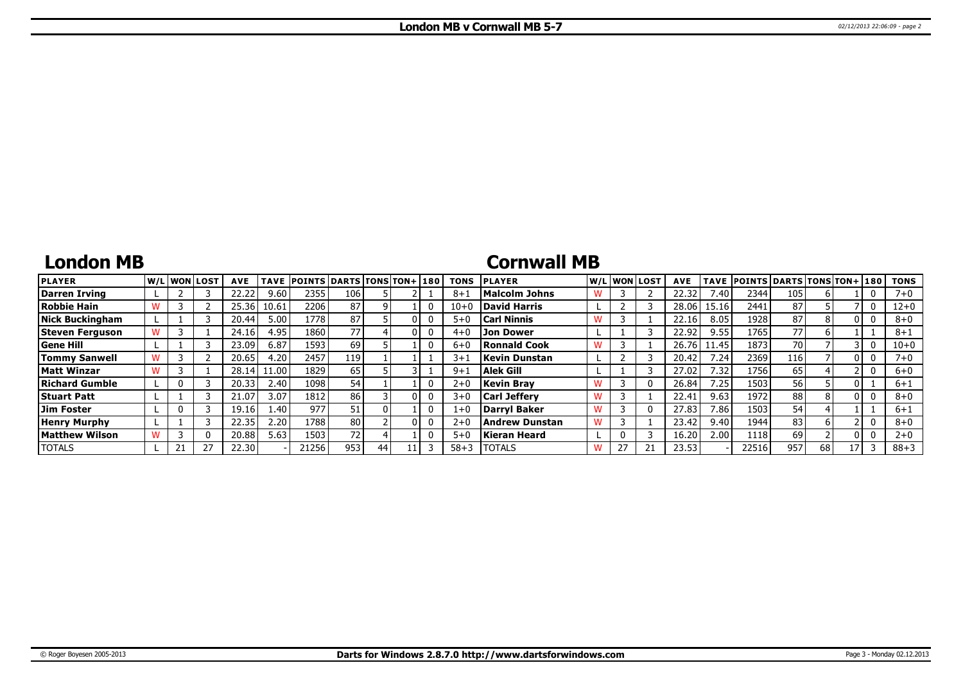# **London MB**

## **Cornwall MB**

| <b>PLAYER</b>        | W/L WON LOST | <b>AVE</b> | <b>TAVE</b>       | <b>POINTS DARTS TONS TON+1180</b> |                 |    |  | <b>TONS</b> | <b>PLAYER</b>         |   |    | W/Liwonilost | <b>AVE</b> |       | TAVE POINTS DARTS TONS TON+ 180 |      |    |    | <b>TONS</b> |
|----------------------|--------------|------------|-------------------|-----------------------------------|-----------------|----|--|-------------|-----------------------|---|----|--------------|------------|-------|---------------------------------|------|----|----|-------------|
| Darren Irving        |              | 22.22      | 9.60              | 2355                              | 106             |    |  | 8+          | <b>Malcolm Johns</b>  |   |    |              | 22.32      | /0.40 | 2344                            | 105  |    |    | $7 + 0$     |
| Robbie Hain          |              | 25.36      | 10.61             | 22061                             | 87              |    |  | $10 + C$    | David Harris          |   |    |              | 28.06      | 15.16 | 2441                            | 87   |    |    | 12+0        |
| Nick Buckingham      |              | 20.44      | 5.00 <sup>1</sup> | 1778                              | 87              |    |  | $5+0$       | <b>Carl Ninnis</b>    |   |    |              | 22.16      | 8.05  | 1928                            | 87   |    |    | $8 + 0$     |
| Steven Ferguson      |              | 24.16      | 4.95              | 1860                              | 77)             |    |  | $4 + 0$     | <b>Jon Dower</b>      |   |    |              | 22.92      | 9.55  | 1765                            | 77   |    |    | $8 + 1$     |
| <b>Gene Hill</b>     |              | 23.09      | 6.87              | 1593                              | 69              |    |  | $6 + 0$     | <b>Ronnald Cook</b>   |   |    |              | 26.76      | 11.45 | 1873                            | 70   |    |    | $10 + 0$    |
| <b>Tommy Sanwell</b> |              | 20.65      | 4.20              | 2457                              | 119'            |    |  | $3 + 1$     | <b>Kevin Dunstan</b>  |   |    |              | 20.42      | 7.24  | 2369                            | 116' |    |    | $7 + 0$     |
| <b>Matt Winzar</b>   |              | 28.14      | 1.00 <sub>l</sub> | 1829                              | 65              |    |  | $9 + 1$     | Alek Gill             |   |    |              | 27.02      | 7.32  | 1756                            | 65   |    |    | $6+0$       |
| Richard Gumble       |              | 20.33      | 2.40              | 1098                              | 54              |    |  | $2+0$       | <b>Kevin Brav</b>     |   |    |              | 26.84      | 7.25  | 1503                            | 56   |    |    | $6 + 1$     |
| <b>Stuart Patt</b>   |              | 21.07      | 3.07              | 1812                              | 86 l            |    |  | $3 + 0$     | <b>Carl Jefferv</b>   | w |    |              | 22.41      | 9.63  | 1972                            | 88   |    |    | $8 + 0$     |
| Jim Foster           |              | 19.16      | 1.40              | 977                               | 51              |    |  | $1 + 0$     | Darryl Baker          |   |    |              | 27.83      | 7.86  | 1503                            | 54   |    |    | $6 + 1$     |
| <b>Henry Murphy</b>  |              | 22.35      | 2.20              | 1788                              | 80 l            |    |  | $2+0$       | <b>Andrew Dunstan</b> |   |    |              | 23.42      | 9.40  | 1944                            | 83   |    |    | $8 + 0$     |
| Matthew Wilson       |              | 20.88      | 5.63              | 1503                              | 72 <sub>1</sub> |    |  | $5 + C$     | <b>Kieran Heard</b>   |   |    |              | 16.20      | 2.00  | 1118                            | 69   |    |    | $2 + 0$     |
| <b>TOTALS</b>        |              | 22.30      |                   | 21256                             | 953             | 44 |  | $58 + 3$    | <b>TOTALS</b>         |   | 27 |              | 23.53      |       | 22516                           | 957  | 68 | 17 | $88 + 3$    |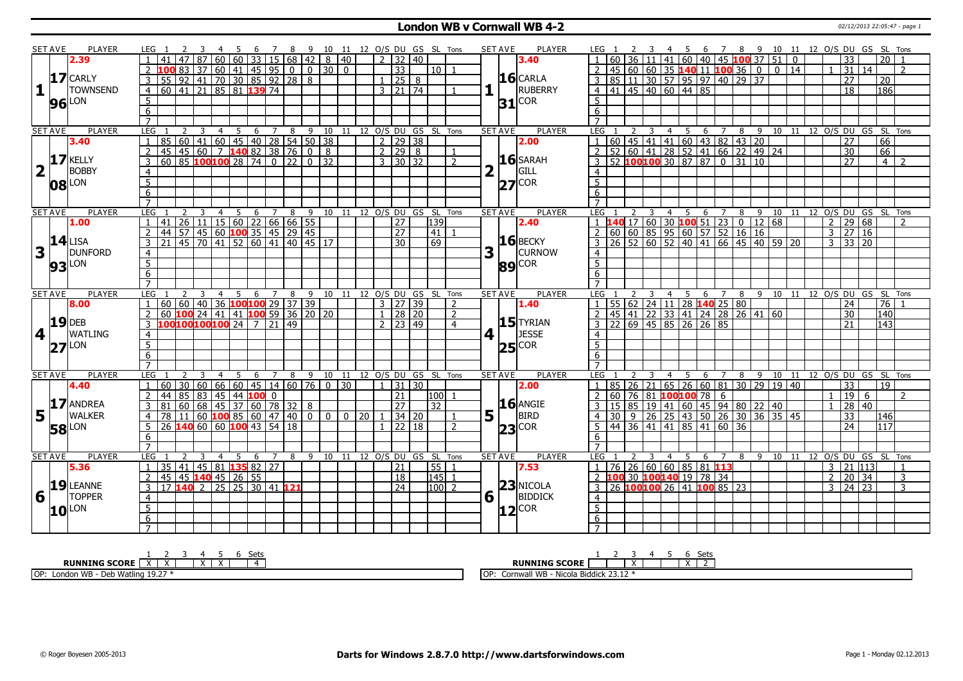### **London WB v Cornwall WB 4-2** 02/12/2013 22:05:47 - page 1

|                         | SET AVE        | <b>PLAYER</b>       | LEG 1                                                                                                                     |                                         |       |                |                 |                 |                |            |                                  |                                                         |             |             |              |                                   |       |                        | 7 8 9 10 11 12 O/S DU GS SL Tons |                | SET AVE        | <b>PLAYER</b> | LEG 1                             |    |          | $\overline{\mathbf{3}}$ |    | 45                    |   |                                        |                                       |                                                                                                    |             |                |                 |                     | 6 7 8 9 10 11 12 O/S DU GS SL Tons |                                        |
|-------------------------|----------------|---------------------|---------------------------------------------------------------------------------------------------------------------------|-----------------------------------------|-------|----------------|-----------------|-----------------|----------------|------------|----------------------------------|---------------------------------------------------------|-------------|-------------|--------------|-----------------------------------|-------|------------------------|----------------------------------|----------------|----------------|---------------|-----------------------------------|----|----------|-------------------------|----|-----------------------|---|----------------------------------------|---------------------------------------|----------------------------------------------------------------------------------------------------|-------------|----------------|-----------------|---------------------|------------------------------------|----------------------------------------|
|                         |                | 2.39                |                                                                                                                           |                                         |       | 60 I           | 60              |                 |                |            |                                  | $33 \mid 15 \mid 68 \mid 42 \mid 8 \mid 40$             |             |             |              | $2 \mid 32 \mid 40$               |       |                        |                                  |                |                | 3.40          |                                   |    | 36       | l 11                    | 41 |                       |   |                                        |                                       | 60 40 45 100 37 51                                                                                 | $\mathbf 0$ |                | 33              |                     | 20 I                               |                                        |
|                         |                |                     |                                                                                                                           | 83                                      | 37    |                |                 |                 |                |            |                                  | 60  41  45  95   0 0 30                                 | $\Omega$    |             |              | $\overline{33}$                   |       | 110 L 1                |                                  |                |                |               |                                   |    | 45 60    |                         |    |                       |   |                                        |                                       | $\Omega$                                                                                           | 14          |                | 31 <sup>1</sup> | 14                  |                                    | $\mathcal{L}$                          |
|                         |                | $17$ CARLY          | $\mathbf{3}$<br>55                                                                                                        |                                         |       |                |                 |                 |                |            | $\frac{92}{41}$ 70 30 85 92 28 8 |                                                         |             |             |              | $1 \mid 25 \mid 8$                |       |                        |                                  |                |                | $16$ CARLA    | 3                                 |    |          |                         |    |                       |   |                                        | 85 11 30 57 95 97 40 29 37            |                                                                                                    |             |                | 27              |                     | 20                                 |                                        |
| $\mathbf{1}$            |                | <b>TOWNSEND</b>     | 60 41 21 85 81 139 74<br>$\overline{4}$                                                                                   |                                         |       |                |                 |                 |                |            |                                  |                                                         |             |             |              | 3   21   74                       |       |                        |                                  |                |                | RUBERRY       |                                   |    |          |                         |    | 4 41 45 40 60 44 85   |   |                                        |                                       |                                                                                                    |             |                | $\overline{18}$ |                     | 186                                |                                        |
|                         |                |                     | 5                                                                                                                         |                                         |       |                |                 |                 |                |            |                                  |                                                         |             |             |              |                                   |       |                        |                                  |                |                |               | 5 <sup>1</sup>                    |    |          |                         |    |                       |   |                                        |                                       |                                                                                                    |             |                |                 |                     |                                    |                                        |
|                         |                | <b>96</b> LON       | $\overline{6}$                                                                                                            |                                         |       |                |                 |                 |                |            |                                  |                                                         |             |             |              |                                   |       |                        |                                  |                | $31^{ COR }$   |               | 6                                 |    |          |                         |    |                       |   |                                        |                                       |                                                                                                    |             |                |                 |                     |                                    |                                        |
|                         |                |                     | $\overline{7}$                                                                                                            |                                         |       |                |                 |                 |                |            |                                  |                                                         |             |             |              |                                   |       |                        |                                  |                |                |               | $\overline{7}$                    |    |          |                         |    |                       |   |                                        |                                       |                                                                                                    |             |                |                 |                     |                                    |                                        |
|                         |                | <b>PLAYER</b>       | LEG                                                                                                                       | 2                                       | -3    |                |                 |                 | $\overline{Z}$ |            |                                  |                                                         |             |             |              |                                   |       |                        |                                  |                | <b>SET AVE</b> | PLAYER        | LEG 1                             |    |          |                         |    |                       |   |                                        |                                       |                                                                                                    |             |                |                 |                     |                                    |                                        |
|                         | <b>SET AVE</b> |                     | 85                                                                                                                        | 60                                      |       | 4              | $5\overline{)}$ | $6\overline{6}$ |                | 8          |                                  | 9 10 11 12 O/S DU GS SL Tons<br>41 60 45 40 28 54 50 38 |             |             |              | $\frac{1}{2}$   29   38           |       |                        |                                  |                |                |               |                                   |    |          | 3                       | 4  | 5                     |   |                                        | 6 7 8 9<br>60 45 41 41 60 43 82 43 20 |                                                                                                    |             |                | 27              |                     | $\overline{66}$                    | 10 11 12 O/S DU GS SL Tons             |
|                         |                | 3.40                |                                                                                                                           |                                         |       |                |                 |                 |                |            |                                  |                                                         |             |             |              |                                   |       |                        |                                  |                |                | 2.00          |                                   |    |          |                         |    |                       |   |                                        |                                       |                                                                                                    |             |                |                 |                     |                                    |                                        |
|                         |                | $17$ KELLY          | $\overline{2}$<br>45                                                                                                      |                                         |       |                |                 |                 |                |            |                                  | 45 60 7 140 82 38 76 0 8                                |             |             |              | $2 \ 29 \ 8$                      |       |                        | $\overline{1}$                   |                |                | 16 SARAH      |                                   |    |          |                         |    |                       |   |                                        |                                       | 2 52 60 41 28 52 41 66 22 49 24<br>3 52 <b>100 100</b> 30 87 87 0 31 10                            |             |                | $\overline{30}$ |                     | 66                                 |                                        |
|                         |                |                     | 3<br>60                                                                                                                   | 85                                      |       |                |                 |                 |                |            |                                  | $100100$ 28 74 0 22 0 32                                |             |             |              | $3 \overline{)30} \overline{)32}$ |       |                        | $\overline{2}$                   |                |                |               |                                   |    |          |                         |    |                       |   |                                        |                                       |                                                                                                    |             |                | 27              |                     | 4 <sup>1</sup>                     | $\overline{2}$                         |
| $\overline{\mathbf{2}}$ |                | <b>BOBBY</b>        | $\overline{4}$                                                                                                            |                                         |       |                |                 |                 |                |            |                                  |                                                         |             |             |              |                                   |       |                        |                                  | $\overline{2}$ |                | GILL          |                                   |    |          |                         |    |                       |   |                                        |                                       |                                                                                                    |             |                |                 |                     |                                    |                                        |
|                         |                | $08$ <sup>LON</sup> | $\overline{5}$                                                                                                            |                                         |       |                |                 |                 |                |            |                                  |                                                         |             |             |              |                                   |       |                        |                                  |                | $27$ COR       |               | $\overline{5}$                    |    |          |                         |    |                       |   |                                        |                                       |                                                                                                    |             |                |                 |                     |                                    |                                        |
|                         |                |                     | 6                                                                                                                         |                                         |       |                |                 |                 |                |            |                                  |                                                         |             |             |              |                                   |       |                        |                                  |                |                |               | 6                                 |    |          |                         |    |                       |   |                                        |                                       |                                                                                                    |             |                |                 |                     |                                    |                                        |
|                         |                |                     | $\overline{7}$                                                                                                            |                                         |       |                |                 |                 |                |            |                                  |                                                         |             |             |              |                                   |       |                        |                                  |                |                |               |                                   |    |          |                         |    |                       |   |                                        |                                       |                                                                                                    |             |                |                 |                     |                                    |                                        |
|                         | <b>SET AVE</b> | <b>PLAYER</b>       | LEG                                                                                                                       |                                         | 3     | $\overline{4}$ |                 |                 |                |            |                                  | 5 6 7 8 9 10 11 12 O/S DU GS SL Tons                    |             |             |              |                                   |       |                        |                                  |                | <b>SET AVE</b> | <b>PLAYER</b> | LEG                               |    |          | $\overline{\mathbf{3}}$ |    |                       |   |                                        |                                       |                                                                                                    |             |                |                 |                     |                                    | 4 5 6 7 8 9 10 11 12 0/S DU GS SL Tons |
|                         |                | 1.00                | 41                                                                                                                        |                                         |       |                |                 |                 |                |            | $26$ 11 15 60 22 66 66 55        |                                                         |             |             |              | 27                                |       | 139                    |                                  |                |                | 2.40          |                                   |    |          |                         |    |                       |   |                                        | $17 60 30$ 100 51 23 0 12 68          |                                                                                                    |             |                |                 | $2 \mid 29 \mid 68$ |                                    |                                        |
|                         |                |                     | 44 57 45 60 100 35 45 29 45<br>$\overline{2}$                                                                             |                                         |       |                |                 |                 |                |            |                                  |                                                         |             |             |              | $\overline{27}$                   |       | $\boxed{41}$           |                                  |                |                |               | 2                                 |    |          |                         |    |                       |   |                                        |                                       |                                                                                                    |             |                |                 | $3 \ 27 \ 16$       |                                    |                                        |
|                         |                | $14$ LISA           | $\overline{3}$<br>21                                                                                                      |                                         |       |                |                 |                 |                |            |                                  | 45 70 41 52 60 41 40 45 17                              |             |             |              | $\overline{30}$                   |       | 69                     |                                  |                |                | $16$ BECKY    | $\overline{3}$                    |    |          |                         |    |                       |   |                                        |                                       |                                                                                                    |             |                |                 | $3 \mid 33 \mid 20$ |                                    |                                        |
| 3                       |                | DUNFORD             | $\overline{4}$                                                                                                            |                                         |       |                |                 |                 |                |            |                                  |                                                         |             |             |              |                                   |       |                        |                                  | 3              |                | <b>CURNOW</b> | $\overline{4}$                    |    |          |                         |    |                       |   |                                        |                                       |                                                                                                    |             |                |                 |                     |                                    |                                        |
|                         |                | <b>93</b> LON       | $\overline{5}$                                                                                                            |                                         |       |                |                 |                 |                |            |                                  |                                                         |             |             |              |                                   |       |                        |                                  |                | <b>89</b> COR  |               | 5 <sup>7</sup>                    |    |          |                         |    |                       |   |                                        |                                       |                                                                                                    |             |                |                 |                     |                                    |                                        |
|                         |                |                     | 6                                                                                                                         |                                         |       |                |                 |                 |                |            |                                  |                                                         |             |             |              |                                   |       |                        |                                  |                |                |               | 6                                 |    |          |                         |    |                       |   |                                        |                                       |                                                                                                    |             |                |                 |                     |                                    |                                        |
|                         |                |                     | $\overline{7}$                                                                                                            |                                         |       |                |                 |                 |                |            |                                  |                                                         |             |             |              |                                   |       |                        |                                  |                |                |               | $\overline{7}$                    |    |          |                         |    |                       |   |                                        |                                       |                                                                                                    |             |                |                 |                     |                                    |                                        |
|                         | <b>SET AVE</b> | <b>PLAYER</b>       | LEG                                                                                                                       | $\mathcal{P}$                           | 3     | $\overline{4}$ | 5 <sup>5</sup>  |                 |                | 6 7 8      |                                  | 9 10 11 12 0/S DU GS SL Tons                            |             |             |              |                                   |       |                        |                                  |                | <b>SET AVE</b> | <b>PLAYER</b> | LEG <sub>1</sub>                  |    |          | 3                       |    | 4 5 6                 |   |                                        |                                       |                                                                                                    |             |                |                 |                     |                                    | 7 8 9 10 11 12 0/S DU GS SL Tons       |
|                         |                |                     |                                                                                                                           |                                         |       |                |                 |                 |                |            |                                  |                                                         |             |             |              |                                   |       |                        |                                  |                |                |               |                                   |    |          |                         |    |                       |   |                                        |                                       |                                                                                                    |             |                |                 |                     |                                    |                                        |
|                         |                | 8.00                | 60 60 40 36 100 100 29 37 39<br>$\mathbf{1}$                                                                              |                                         |       |                |                 |                 |                |            |                                  |                                                         |             |             |              | 3 27 39                           |       |                        | $\overline{z}$                   |                |                | 1.40          | $\overline{1}$                    |    |          |                         |    |                       |   | 55 62 24 11 28 140 25 80               |                                       |                                                                                                    |             |                | 24              |                     | 76                                 |                                        |
|                         |                |                     | 60<br>$\overline{2}$                                                                                                      |                                         |       |                |                 |                 |                |            |                                  | <b>100</b> 24 41 41 <b>100</b> 59 36 20 20              |             |             | $\mathbf{1}$ | 28 20                             |       |                        | $\overline{z}$                   |                |                |               | 2                                 |    |          |                         |    |                       |   |                                        | 45 41 22 33 41 24 28 26 41 60         |                                                                                                    |             |                | 30              |                     | 140                                |                                        |
|                         |                | $19$ DEB            | 100100100100 24 7 21 49<br>3                                                                                              |                                         |       |                |                 |                 |                |            |                                  |                                                         |             |             |              | $2 \mid 23 \mid 49$               |       |                        | $\overline{4}$                   |                |                | $15$ TYRIAN   |                                   |    |          |                         |    |                       |   | $3 \ 22 \ 69 \ 45 \ 85 \ 26 \ 26 \ 85$ |                                       |                                                                                                    |             |                | 21              |                     | 143                                |                                        |
| $\overline{\mathbf{4}}$ | $\mathbf{L}$   | <b>WATLING</b>      | $\overline{4}$                                                                                                            |                                         |       |                |                 |                 |                |            |                                  |                                                         |             |             |              |                                   |       |                        |                                  | 4              |                | <b>JESSE</b>  | $\overline{4}$                    |    |          |                         |    |                       |   |                                        |                                       |                                                                                                    |             |                |                 |                     |                                    |                                        |
|                         |                | LON                 | $\overline{5}$                                                                                                            |                                         |       |                |                 |                 |                |            |                                  |                                                         |             |             |              |                                   |       |                        |                                  |                |                |               | $\overline{5}$                    |    |          |                         |    |                       |   |                                        |                                       |                                                                                                    |             |                |                 |                     |                                    |                                        |
|                         | 27             |                     | 6                                                                                                                         |                                         |       |                |                 |                 |                |            |                                  |                                                         |             |             |              |                                   |       |                        |                                  |                |                | $25$ COR      | 6                                 |    |          |                         |    |                       |   |                                        |                                       |                                                                                                    |             |                |                 |                     |                                    |                                        |
|                         |                |                     | $\overline{7}$                                                                                                            |                                         |       |                |                 |                 |                |            |                                  |                                                         |             |             |              |                                   |       |                        |                                  |                |                |               | $\overline{7}$                    |    |          |                         |    |                       |   |                                        |                                       |                                                                                                    |             |                |                 |                     |                                    |                                        |
|                         | <b>SET AVE</b> | <b>PLAYER</b>       | LEG                                                                                                                       |                                         |       |                | -5              | - 6             |                |            |                                  | 7 8 9 10 11 12 O/S DU GS SL Tons                        |             |             |              |                                   |       |                        |                                  |                | <b>SET AVE</b> | <b>PLAYER</b> | LEG <sub>1</sub>                  |    |          |                         |    | - 5                   |   |                                        |                                       |                                                                                                    |             |                |                 |                     |                                    | 6 7 8 9 10 11 12 0/S DU GS SL Tons     |
|                         |                | 4.40                | $\boxed{60}$ $\boxed{30}$ $\boxed{60}$ $\boxed{66}$ $\boxed{60}$ $\boxed{45}$ $\boxed{14}$ $\boxed{60}$ $\boxed{76}$<br>1 |                                         |       |                |                 |                 |                |            |                                  |                                                         | $0 \mid 30$ |             |              | $1 \mid 31 \mid 30$               |       |                        |                                  |                |                | 2.00          | -1-1                              |    | 85 26 21 |                         |    | $65 \ 26$             |   |                                        | 60 81 30 29                           | 19 40                                                                                              |             |                | 33              |                     | 19                                 |                                        |
|                         |                |                     | 44 85 83 45 44 100 0<br>$\overline{2}$                                                                                    |                                         |       |                |                 |                 |                |            |                                  |                                                         |             |             |              | 21                                |       | l100l 1                |                                  |                |                |               | $\overline{2}$                    |    |          |                         |    | 60 76 81 100 100 78 6 |   |                                        |                                       |                                                                                                    |             |                | 19              | 6                   |                                    | $\mathcal{P}$                          |
|                         |                | 17 ANDREA           |                                                                                                                           | 60                                      | 68 45 |                | l 37 l          |                 |                | 60 78 32 8 |                                  |                                                         |             |             |              | 27                                |       | 32                     |                                  |                |                | $16$ ANGIE    |                                   | 15 |          | 85 19 41                |    |                       |   |                                        | 60   45   94   80   22   40           |                                                                                                    |             |                | $\overline{28}$ | 40                  |                                    |                                        |
|                         |                | <b>WALKER</b>       | 78<br>$\overline{4}$                                                                                                      | 11                                      |       |                |                 |                 |                |            |                                  | $\mathbf{0}$                                            |             | $0 \mid 20$ |              |                                   | 34 20 |                        |                                  |                |                | <b>BIRD</b>   | 4                                 | 30 | 9        |                         |    |                       |   |                                        |                                       | $\vert$ 26 $\vert$ 25 $\vert$ 43 $\vert$ 50 $\vert$ 26 $\vert$ 30 $\vert$ 36 $\vert$ 35 $\vert$ 45 |             |                | $\overline{33}$ |                     | 146l                               |                                        |
| 5                       |                |                     | 26 140 60 60 100 43 54 18<br>5                                                                                            |                                         |       |                |                 |                 |                |            |                                  |                                                         |             |             | $\mathbf{1}$ | 22 18                             |       |                        | $\overline{2}$                   | 5              |                |               | 5                                 |    |          |                         |    |                       |   |                                        |                                       |                                                                                                    |             |                | $\overline{24}$ |                     | 117                                |                                        |
|                         |                | <b>58</b> LON       | 6                                                                                                                         |                                         |       |                |                 |                 |                |            |                                  |                                                         |             |             |              |                                   |       |                        |                                  |                | $ 23 $ COR     |               | 6                                 |    |          |                         |    |                       |   | 44 36 41 41 85 41 60 36                |                                       |                                                                                                    |             |                |                 |                     |                                    |                                        |
|                         |                |                     | $\overline{7}$                                                                                                            |                                         |       |                |                 |                 |                |            |                                  |                                                         |             |             |              |                                   |       |                        |                                  |                |                |               | $\overline{7}$                    |    |          |                         |    |                       |   |                                        |                                       |                                                                                                    |             |                |                 |                     |                                    |                                        |
|                         |                | <b>PLAYER</b>       | LEG                                                                                                                       |                                         | 3     | $\overline{4}$ | 5               | 6               | $7^{\circ}$    | 8          |                                  | 9 10 11 12 O/S DU GS SL Tons                            |             |             |              |                                   |       |                        |                                  |                | <b>SET AVE</b> | <b>PLAYER</b> | LEG                               |    |          |                         | 4  | 5                     | 6 | 7                                      |                                       | 8 9 10 11                                                                                          |             |                |                 |                     | 12 O/S DU GS SL                    | Tons                                   |
|                         | <b>SET AVE</b> | 5.36                | 35  <br>$\mathbf{1}$                                                                                                      |                                         |       |                |                 |                 |                |            |                                  |                                                         |             |             |              | 21                                |       |                        |                                  |                |                | 7.53          | $\mathbf{1}$                      |    |          |                         |    |                       |   |                                        |                                       |                                                                                                    |             |                |                 | 3 21 113            |                                    | $\overline{1}$                         |
|                         |                |                     | $\overline{2}$                                                                                                            | 41   45   81   <mark>135</mark> 82   27 |       |                |                 |                 |                |            |                                  |                                                         |             |             |              | <b>18</b>                         |       | 55 1                   |                                  |                |                |               | $\mathcal{P}$                     |    |          |                         |    |                       |   | 76 26 60 60 85 81 113                  |                                       |                                                                                                    |             | $\overline{2}$ |                 |                     |                                    | 3                                      |
|                         |                |                     | 45   45   140   45   26   55  <br>17                                                                                      |                                         |       |                |                 |                 |                |            |                                  |                                                         |             |             |              | 24                                |       | $ 145 $ 1<br>$100$   2 |                                  |                |                |               |                                   |    |          |                         |    |                       |   | 100 30 100 140 19 78 34                |                                       |                                                                                                    |             | 3              |                 | 20 34<br>24 23      |                                    | 3                                      |
|                         |                | 19 LEANNE           | $\mathsf{3}$                                                                                                              | $140$ 2 25 25 30 41 121                 |       |                |                 |                 |                |            |                                  |                                                         |             |             |              |                                   |       |                        |                                  |                |                | $23$ NICOLA   |                                   |    |          |                         |    |                       |   | 3 26 100 100 26 41 100 85 23           |                                       |                                                                                                    |             |                |                 |                     |                                    |                                        |
| $6 \mid \cdot \mid$     |                | <b>TOPPER</b>       | $\overline{4}$                                                                                                            |                                         |       |                |                 |                 |                |            |                                  |                                                         |             |             |              |                                   |       |                        |                                  |                | $6\sqrt{1}$    | BIDDICK       | $\overline{4}$                    |    |          |                         |    |                       |   |                                        |                                       |                                                                                                    |             |                |                 |                     |                                    |                                        |
|                         | 10             | LON                 | $\overline{5}$                                                                                                            |                                         |       |                |                 |                 |                |            |                                  |                                                         |             |             |              |                                   |       |                        |                                  |                | $ 12 ^{COR}$   |               | $\overline{5}$                    |    |          |                         |    |                       |   |                                        |                                       |                                                                                                    |             |                |                 |                     |                                    |                                        |
|                         |                |                     | 6<br>$\overline{7}$                                                                                                       |                                         |       |                |                 |                 |                |            |                                  |                                                         |             |             |              |                                   |       |                        |                                  |                |                |               | $6\overline{6}$<br>$\overline{7}$ |    |          |                         |    |                       |   |                                        |                                       |                                                                                                    |             |                |                 |                     |                                    |                                        |

| Sets                                                                                          | Set:                                                                                       |
|-----------------------------------------------------------------------------------------------|--------------------------------------------------------------------------------------------|
| <b>RUNNING SCORE</b><br>$\ddot{\phantom{1}}$<br>$\ddot{\phantom{1}}$<br>$\lambda$<br>$\cdots$ | $- - - -$<br><b>RUNNING</b><br>$\ddot{\phantom{1}}$<br>' SCORE<br>$\lambda$<br>$\cdots$    |
| OP:<br>$\sim$ $\sim$<br><b>WB</b><br>) Watling<br>Do.<br>Londor<br>טסע<br><b>LJ.</b>          | $\sim$ $\sim$<br>MIR<br>l OF<br>⊢Biddick 23.12<br>- Nicola <sup>F</sup><br>" - UN'dil VVD. |